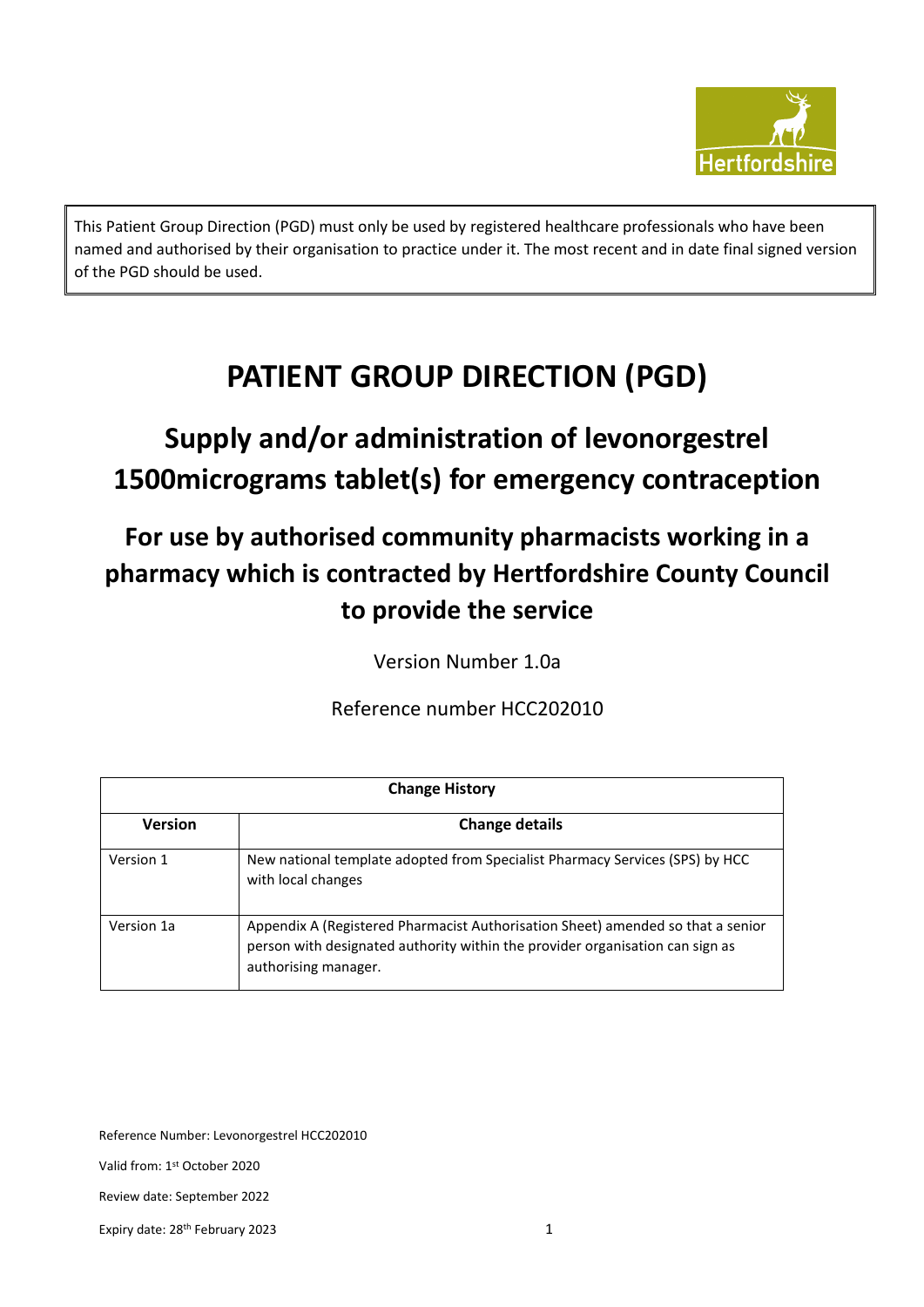

This Patient Group Direction (PGD) must only be used by registered healthcare professionals who have been named and authorised by their organisation to practice under it. The most recent and in date final signed version of the PGD should be used.

## **PATIENT GROUP DIRECTION (PGD)**

## **Supply and/or administration of levonorgestrel 1500micrograms tablet(s) for emergency contraception**

### **For use by authorised community pharmacists working in a pharmacy which is contracted by Hertfordshire County Council to provide the service**

Version Number 1.0a

Reference number HCC202010

| <b>Change History</b> |                                                                                                                                                                                          |  |
|-----------------------|------------------------------------------------------------------------------------------------------------------------------------------------------------------------------------------|--|
| <b>Version</b>        | <b>Change details</b>                                                                                                                                                                    |  |
| Version 1             | New national template adopted from Specialist Pharmacy Services (SPS) by HCC<br>with local changes                                                                                       |  |
| Version 1a            | Appendix A (Registered Pharmacist Authorisation Sheet) amended so that a senior<br>person with designated authority within the provider organisation can sign as<br>authorising manager. |  |

Reference Number: Levonorgestrel HCC202010

Valid from: 1st October 2020

Review date: September 2022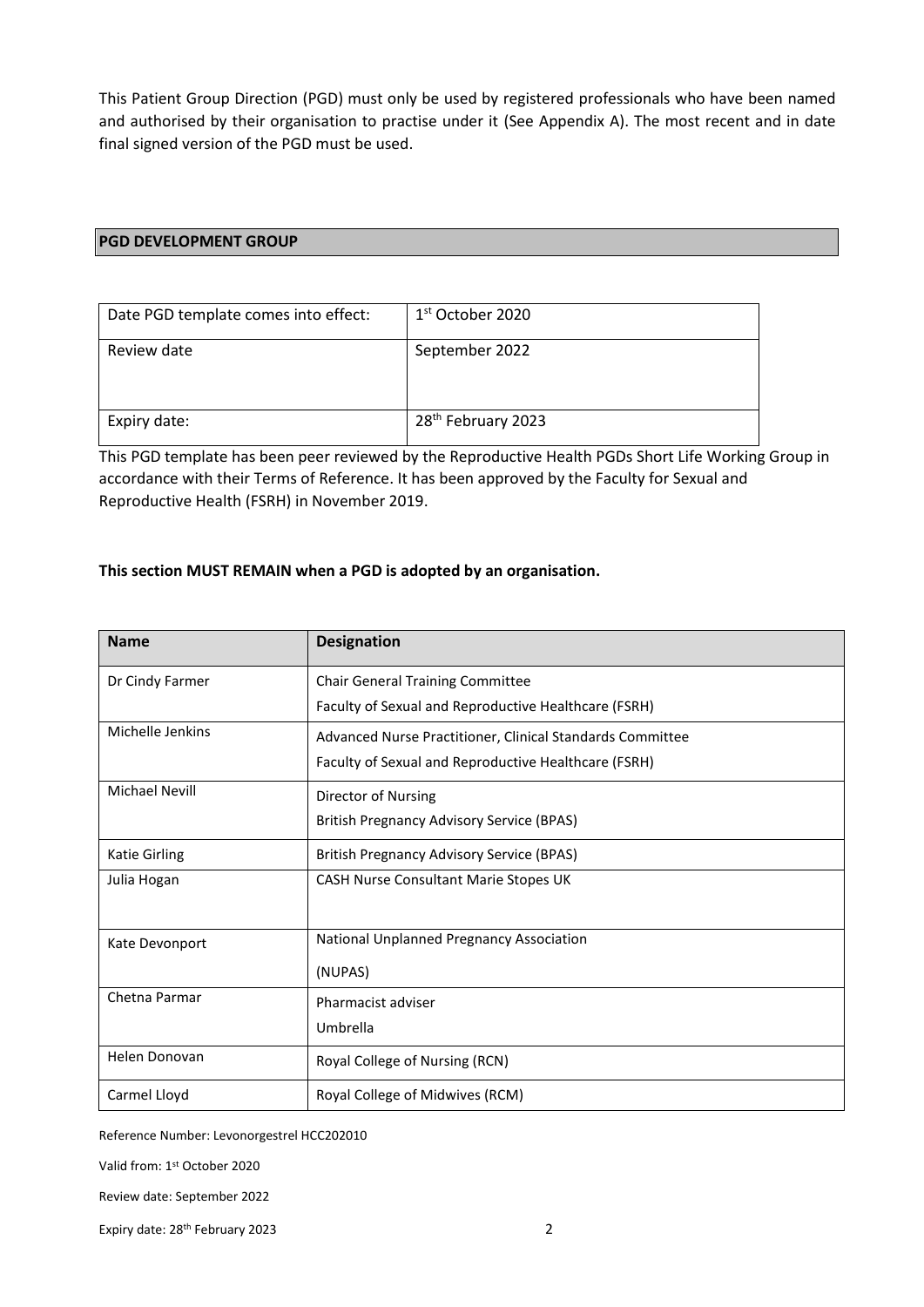This Patient Group Direction (PGD) must only be used by registered professionals who have been named and authorised by their organisation to practise under it (See Appendix A). The most recent and in date final signed version of the PGD must be used.

#### **PGD DEVELOPMENT GROUP**

| Date PGD template comes into effect: | 1 <sup>st</sup> October 2020   |
|--------------------------------------|--------------------------------|
| Review date                          | September 2022                 |
| Expiry date:                         | 28 <sup>th</sup> February 2023 |

This PGD template has been peer reviewed by the Reproductive Health PGDs Short Life Working Group in accordance with their Terms of Reference. It has been approved by the Faculty for Sexual and Reproductive Health (FSRH) in November 2019.

#### **This section MUST REMAIN when a PGD is adopted by an organisation.**

| <b>Name</b>           | <b>Designation</b>                                        |
|-----------------------|-----------------------------------------------------------|
| Dr Cindy Farmer       | <b>Chair General Training Committee</b>                   |
|                       | Faculty of Sexual and Reproductive Healthcare (FSRH)      |
| Michelle Jenkins      | Advanced Nurse Practitioner, Clinical Standards Committee |
|                       | Faculty of Sexual and Reproductive Healthcare (FSRH)      |
| <b>Michael Nevill</b> | Director of Nursing                                       |
|                       | <b>British Pregnancy Advisory Service (BPAS)</b>          |
| Katie Girling         | <b>British Pregnancy Advisory Service (BPAS)</b>          |
| Julia Hogan           | CASH Nurse Consultant Marie Stopes UK                     |
|                       |                                                           |
| Kate Devonport        | National Unplanned Pregnancy Association                  |
|                       | (NUPAS)                                                   |
| Chetna Parmar         | Pharmacist adviser                                        |
|                       | Umbrella                                                  |
| Helen Donovan         | Royal College of Nursing (RCN)                            |
| Carmel Lloyd          | Royal College of Midwives (RCM)                           |

Reference Number: Levonorgestrel HCC202010

Valid from: 1st October 2020

Review date: September 2022

Expiry date: 28th February 2023 2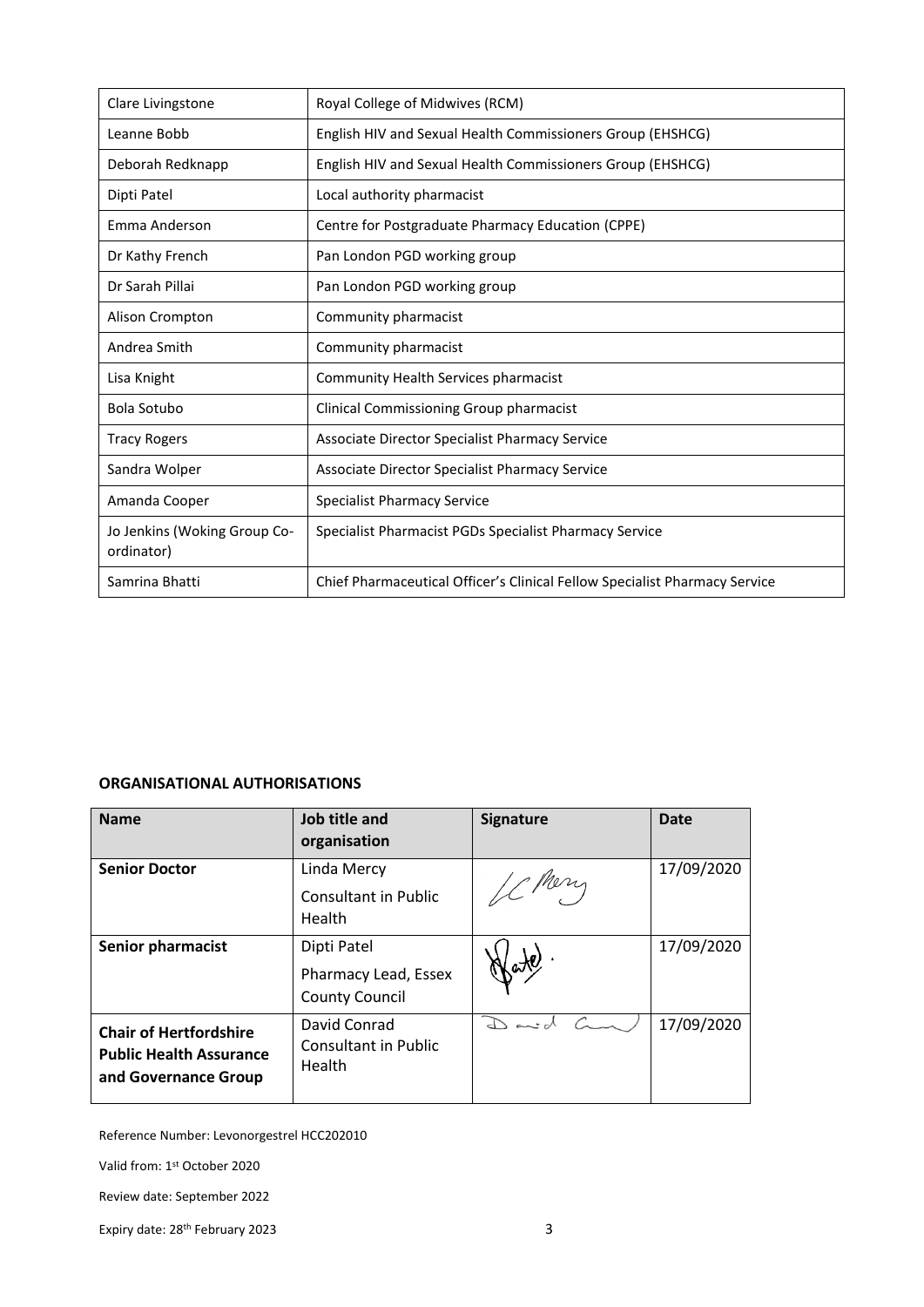| Clare Livingstone                          | Royal College of Midwives (RCM)                                            |
|--------------------------------------------|----------------------------------------------------------------------------|
| Leanne Bobb                                | English HIV and Sexual Health Commissioners Group (EHSHCG)                 |
| Deborah Redknapp                           | English HIV and Sexual Health Commissioners Group (EHSHCG)                 |
| Dipti Patel                                | Local authority pharmacist                                                 |
| Emma Anderson                              | Centre for Postgraduate Pharmacy Education (CPPE)                          |
| Dr Kathy French                            | Pan London PGD working group                                               |
| Dr Sarah Pillai                            | Pan London PGD working group                                               |
| Alison Crompton                            | Community pharmacist                                                       |
| Andrea Smith                               | Community pharmacist                                                       |
| Lisa Knight                                | Community Health Services pharmacist                                       |
| <b>Bola Sotubo</b>                         | Clinical Commissioning Group pharmacist                                    |
| <b>Tracy Rogers</b>                        | Associate Director Specialist Pharmacy Service                             |
| Sandra Wolper                              | Associate Director Specialist Pharmacy Service                             |
| Amanda Cooper                              | <b>Specialist Pharmacy Service</b>                                         |
| Jo Jenkins (Woking Group Co-<br>ordinator) | Specialist Pharmacist PGDs Specialist Pharmacy Service                     |
| Samrina Bhatti                             | Chief Pharmaceutical Officer's Clinical Fellow Specialist Pharmacy Service |

#### **ORGANISATIONAL AUTHORISATIONS**

| <b>Name</b>                                                                             | Job title and<br>organisation                                | <b>Signature</b> | Date       |
|-----------------------------------------------------------------------------------------|--------------------------------------------------------------|------------------|------------|
| <b>Senior Doctor</b>                                                                    | Linda Mercy<br><b>Consultant in Public</b><br>Health         | IC Mary          | 17/09/2020 |
| <b>Senior pharmacist</b>                                                                | Dipti Patel<br>Pharmacy Lead, Essex<br><b>County Council</b> |                  | 17/09/2020 |
| <b>Chair of Hertfordshire</b><br><b>Public Health Assurance</b><br>and Governance Group | David Conrad<br><b>Consultant in Public</b><br><b>Health</b> | $\sum$ and       | 17/09/2020 |

Reference Number: Levonorgestrel HCC202010

Valid from: 1st October 2020

Review date: September 2022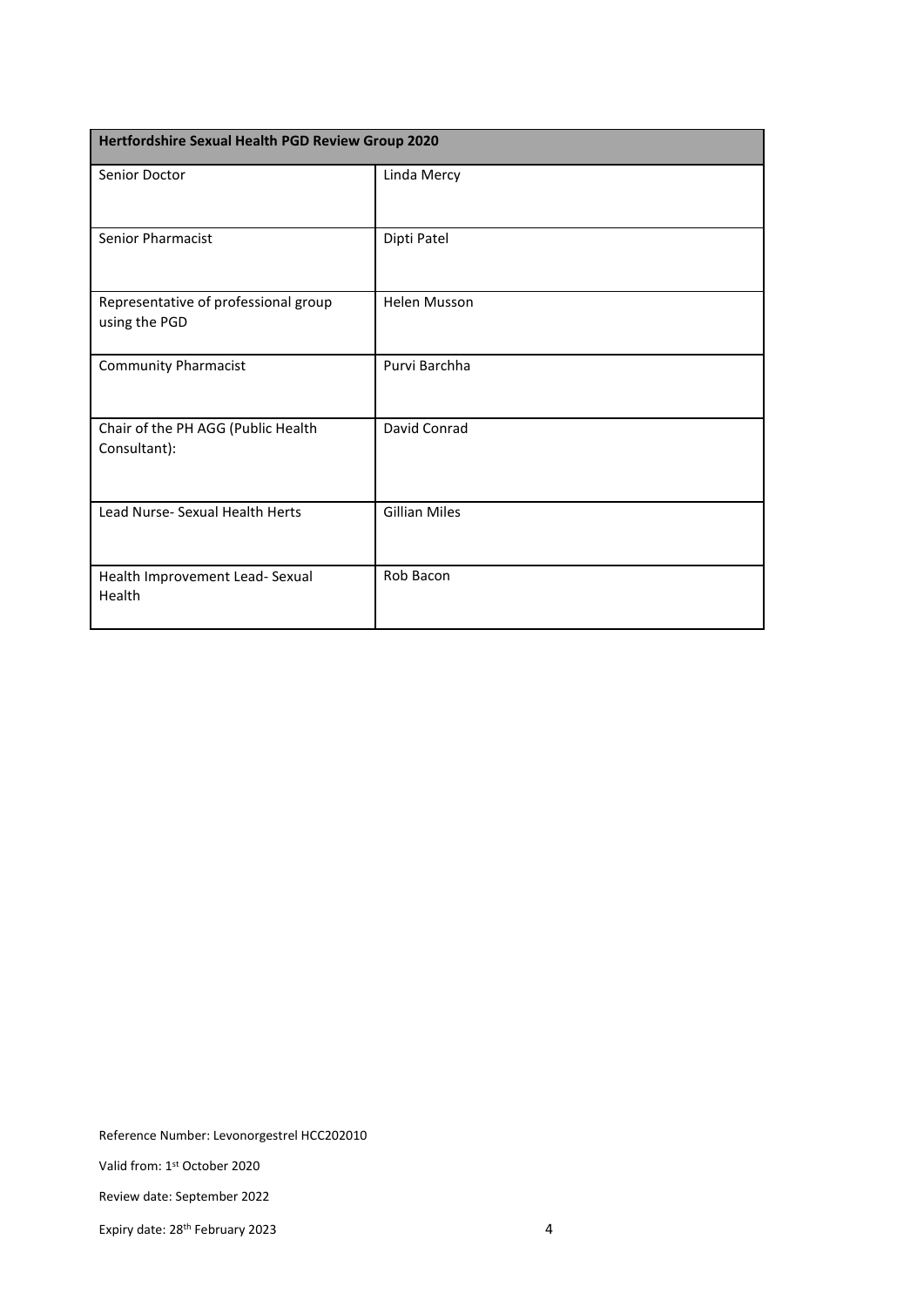| Hertfordshire Sexual Health PGD Review Group 2020     |                      |  |
|-------------------------------------------------------|----------------------|--|
| Senior Doctor                                         | Linda Mercy          |  |
| <b>Senior Pharmacist</b>                              | Dipti Patel          |  |
| Representative of professional group<br>using the PGD | <b>Helen Musson</b>  |  |
| <b>Community Pharmacist</b>                           | Purvi Barchha        |  |
| Chair of the PH AGG (Public Health<br>Consultant):    | David Conrad         |  |
| Lead Nurse- Sexual Health Herts                       | <b>Gillian Miles</b> |  |
| Health Improvement Lead- Sexual<br>Health             | Rob Bacon            |  |

Valid from: 1st October 2020

Review date: September 2022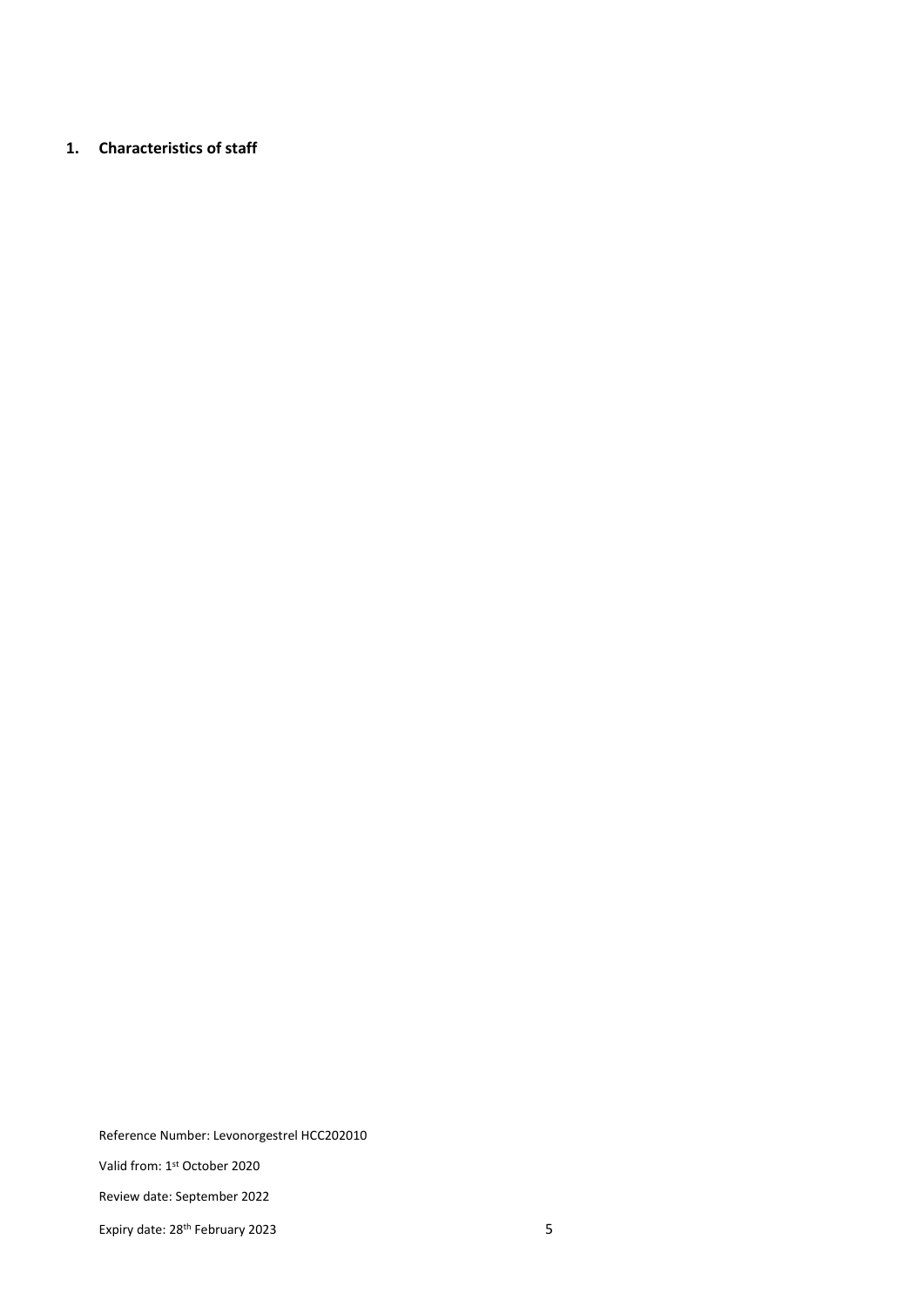#### **1. Characteristics of staff**

Reference Number: Levonorgestrel HCC202010

Valid from: 1st October 2020

Review date: September 2022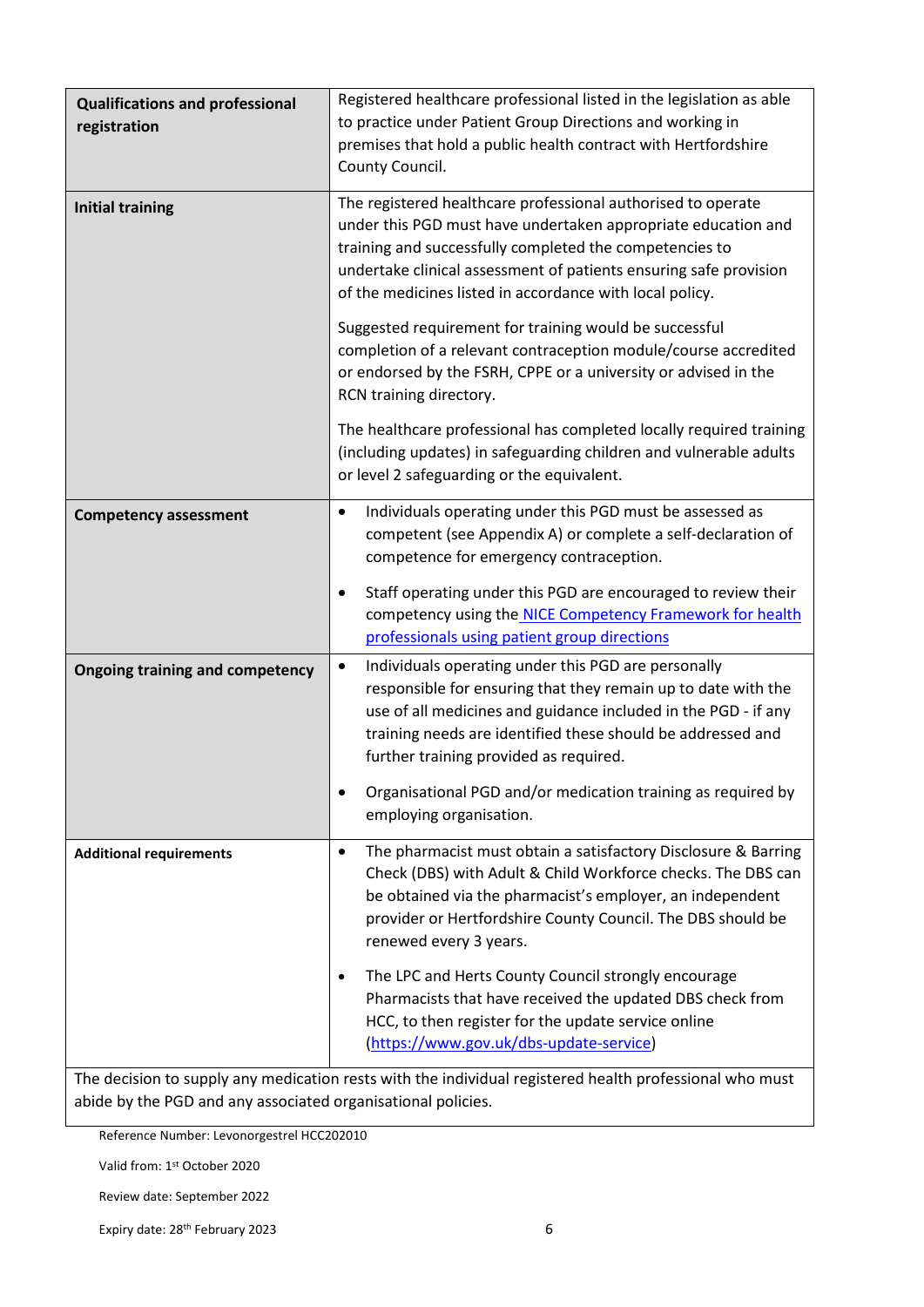| <b>Qualifications and professional</b><br>registration | Registered healthcare professional listed in the legislation as able<br>to practice under Patient Group Directions and working in<br>premises that hold a public health contract with Hertfordshire<br>County Council.                                                                                                                                                       |
|--------------------------------------------------------|------------------------------------------------------------------------------------------------------------------------------------------------------------------------------------------------------------------------------------------------------------------------------------------------------------------------------------------------------------------------------|
| <b>Initial training</b>                                | The registered healthcare professional authorised to operate<br>under this PGD must have undertaken appropriate education and<br>training and successfully completed the competencies to<br>undertake clinical assessment of patients ensuring safe provision<br>of the medicines listed in accordance with local policy.                                                    |
|                                                        | Suggested requirement for training would be successful<br>completion of a relevant contraception module/course accredited<br>or endorsed by the FSRH, CPPE or a university or advised in the<br>RCN training directory.                                                                                                                                                      |
|                                                        | The healthcare professional has completed locally required training<br>(including updates) in safeguarding children and vulnerable adults<br>or level 2 safeguarding or the equivalent.                                                                                                                                                                                      |
| <b>Competency assessment</b>                           | Individuals operating under this PGD must be assessed as<br>$\bullet$<br>competent (see Appendix A) or complete a self-declaration of<br>competence for emergency contraception.<br>Staff operating under this PGD are encouraged to review their<br>$\bullet$<br>competency using the NICE Competency Framework for health<br>professionals using patient group directions  |
| <b>Ongoing training and competency</b>                 | Individuals operating under this PGD are personally<br>$\bullet$<br>responsible for ensuring that they remain up to date with the<br>use of all medicines and guidance included in the PGD - if any<br>training needs are identified these should be addressed and<br>further training provided as required.<br>Organisational PGD and/or medication training as required by |
|                                                        | employing organisation.                                                                                                                                                                                                                                                                                                                                                      |
| <b>Additional requirements</b>                         | The pharmacist must obtain a satisfactory Disclosure & Barring<br>$\bullet$<br>Check (DBS) with Adult & Child Workforce checks. The DBS can<br>be obtained via the pharmacist's employer, an independent<br>provider or Hertfordshire County Council. The DBS should be<br>renewed every 3 years.                                                                            |
|                                                        | The LPC and Herts County Council strongly encourage<br>$\bullet$<br>Pharmacists that have received the updated DBS check from<br>HCC, to then register for the update service online<br>(https://www.gov.uk/dbs-update-service)                                                                                                                                              |

The decision to supply any medication rests with the individual registered health professional who must abide by the PGD and any associated organisational policies.

Reference Number: Levonorgestrel HCC202010

Valid from: 1st October 2020

Review date: September 2022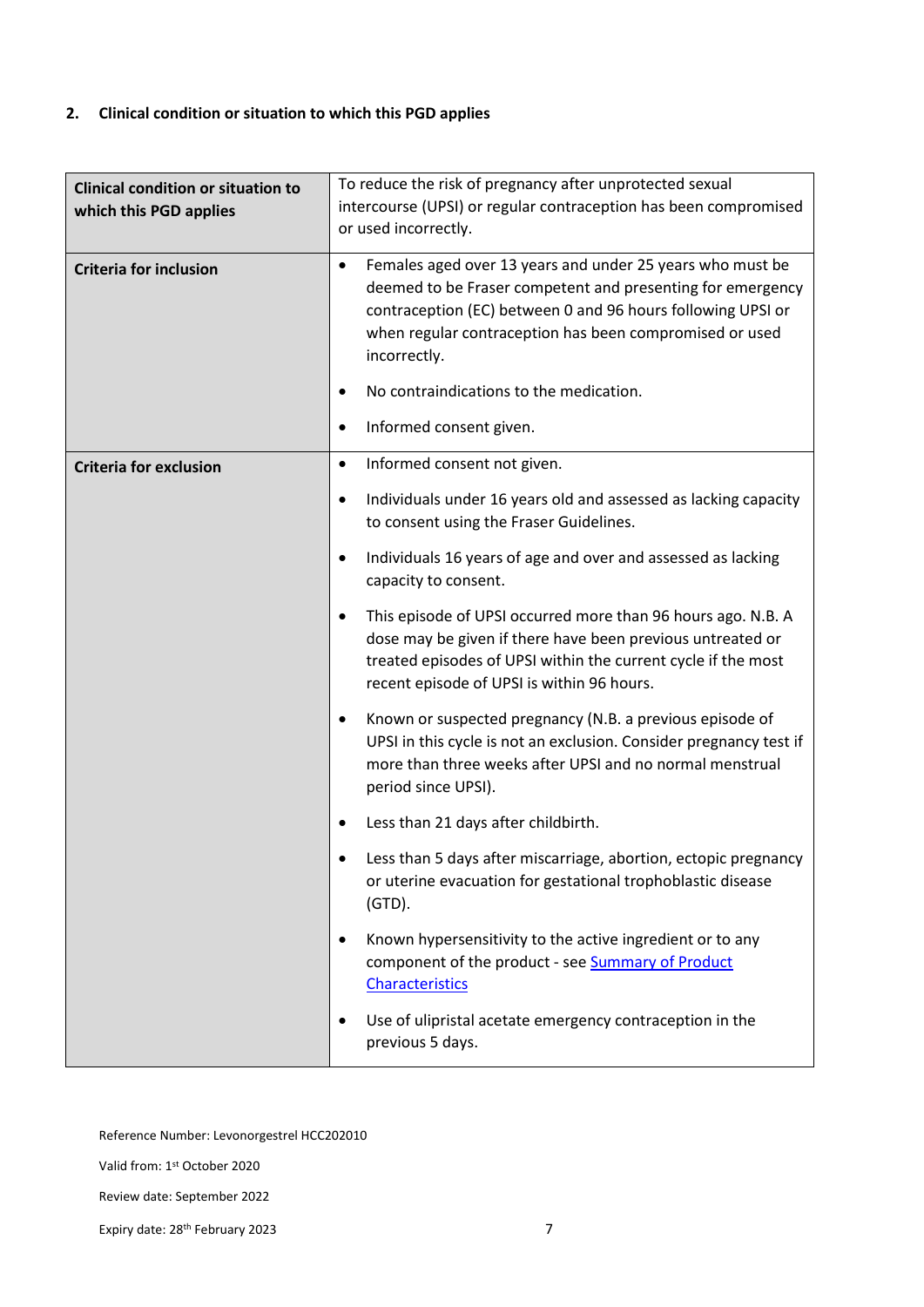#### **2. Clinical condition or situation to which this PGD applies**

| <b>Clinical condition or situation to</b><br>which this PGD applies<br><b>Criteria for inclusion</b> | To reduce the risk of pregnancy after unprotected sexual<br>intercourse (UPSI) or regular contraception has been compromised<br>or used incorrectly.<br>Females aged over 13 years and under 25 years who must be<br>$\bullet$<br>deemed to be Fraser competent and presenting for emergency<br>contraception (EC) between 0 and 96 hours following UPSI or<br>when regular contraception has been compromised or used<br>incorrectly.<br>No contraindications to the medication.<br>Informed consent given.                                                                                                                                                                                                                                                                                                                                                                                                                                                                                                                                                                                                                                                                |
|------------------------------------------------------------------------------------------------------|-----------------------------------------------------------------------------------------------------------------------------------------------------------------------------------------------------------------------------------------------------------------------------------------------------------------------------------------------------------------------------------------------------------------------------------------------------------------------------------------------------------------------------------------------------------------------------------------------------------------------------------------------------------------------------------------------------------------------------------------------------------------------------------------------------------------------------------------------------------------------------------------------------------------------------------------------------------------------------------------------------------------------------------------------------------------------------------------------------------------------------------------------------------------------------|
| <b>Criteria for exclusion</b>                                                                        | Informed consent not given.<br>$\bullet$<br>Individuals under 16 years old and assessed as lacking capacity<br>$\bullet$<br>to consent using the Fraser Guidelines.<br>Individuals 16 years of age and over and assessed as lacking<br>٠<br>capacity to consent.<br>This episode of UPSI occurred more than 96 hours ago. N.B. A<br>٠<br>dose may be given if there have been previous untreated or<br>treated episodes of UPSI within the current cycle if the most<br>recent episode of UPSI is within 96 hours.<br>Known or suspected pregnancy (N.B. a previous episode of<br>$\bullet$<br>UPSI in this cycle is not an exclusion. Consider pregnancy test if<br>more than three weeks after UPSI and no normal menstrual<br>period since UPSI).<br>Less than 21 days after childbirth.<br>Less than 5 days after miscarriage, abortion, ectopic pregnancy<br>or uterine evacuation for gestational trophoblastic disease<br>$(GTD)$ .<br>Known hypersensitivity to the active ingredient or to any<br>٠<br>component of the product - see Summary of Product<br><b>Characteristics</b><br>Use of ulipristal acetate emergency contraception in the<br>previous 5 days. |

Reference Number: Levonorgestrel HCC202010

Valid from: 1st October 2020

Review date: September 2022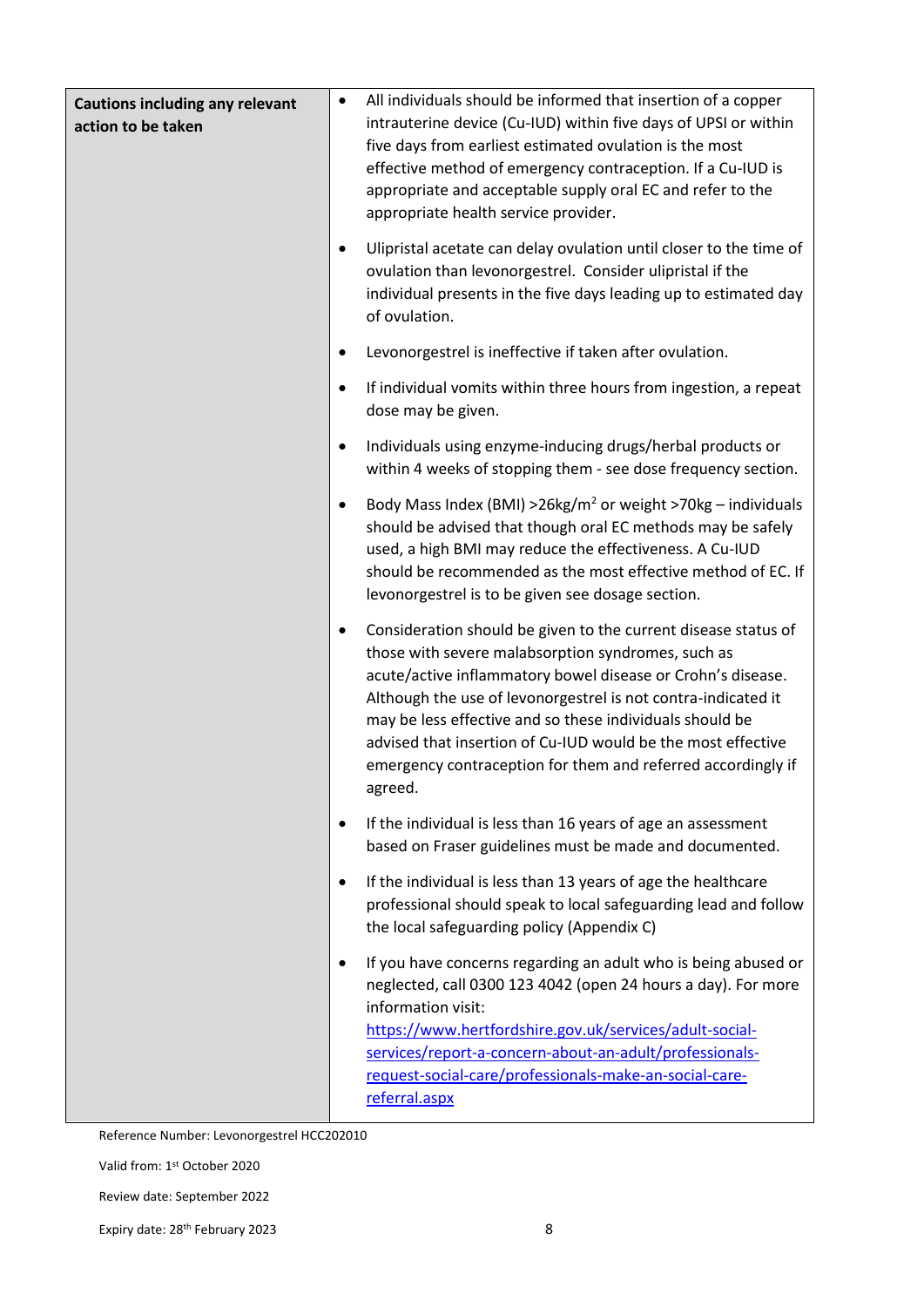| <b>Cautions including any relevant</b><br>action to be taken | All individuals should be informed that insertion of a copper<br>$\bullet$<br>intrauterine device (Cu-IUD) within five days of UPSI or within<br>five days from earliest estimated ovulation is the most<br>effective method of emergency contraception. If a Cu-IUD is<br>appropriate and acceptable supply oral EC and refer to the<br>appropriate health service provider.                                                                                            |
|--------------------------------------------------------------|--------------------------------------------------------------------------------------------------------------------------------------------------------------------------------------------------------------------------------------------------------------------------------------------------------------------------------------------------------------------------------------------------------------------------------------------------------------------------|
|                                                              | Ulipristal acetate can delay ovulation until closer to the time of<br>$\bullet$<br>ovulation than levonorgestrel. Consider ulipristal if the<br>individual presents in the five days leading up to estimated day<br>of ovulation.                                                                                                                                                                                                                                        |
|                                                              | Levonorgestrel is ineffective if taken after ovulation.<br>$\bullet$                                                                                                                                                                                                                                                                                                                                                                                                     |
|                                                              | If individual vomits within three hours from ingestion, a repeat<br>$\bullet$<br>dose may be given.                                                                                                                                                                                                                                                                                                                                                                      |
|                                                              | Individuals using enzyme-inducing drugs/herbal products or<br>$\bullet$<br>within 4 weeks of stopping them - see dose frequency section.                                                                                                                                                                                                                                                                                                                                 |
|                                                              | Body Mass Index (BMI) > $26\text{kg/m}^2$ or weight > 70kg - individuals<br>$\bullet$<br>should be advised that though oral EC methods may be safely<br>used, a high BMI may reduce the effectiveness. A Cu-IUD<br>should be recommended as the most effective method of EC. If<br>levonorgestrel is to be given see dosage section.                                                                                                                                     |
|                                                              | Consideration should be given to the current disease status of<br>$\bullet$<br>those with severe malabsorption syndromes, such as<br>acute/active inflammatory bowel disease or Crohn's disease.<br>Although the use of levonorgestrel is not contra-indicated it<br>may be less effective and so these individuals should be<br>advised that insertion of Cu-IUD would be the most effective<br>emergency contraception for them and referred accordingly if<br>agreed. |
|                                                              | If the individual is less than 16 years of age an assessment<br>$\bullet$<br>based on Fraser guidelines must be made and documented.                                                                                                                                                                                                                                                                                                                                     |
|                                                              | If the individual is less than 13 years of age the healthcare<br>$\bullet$<br>professional should speak to local safeguarding lead and follow<br>the local safeguarding policy (Appendix C)                                                                                                                                                                                                                                                                              |
|                                                              | If you have concerns regarding an adult who is being abused or<br>$\bullet$<br>neglected, call 0300 123 4042 (open 24 hours a day). For more<br>information visit:<br>https://www.hertfordshire.gov.uk/services/adult-social-<br>services/report-a-concern-about-an-adult/professionals-<br>request-social-care/professionals-make-an-social-care-<br>referral.aspx                                                                                                      |

Valid from: 1st October 2020

Review date: September 2022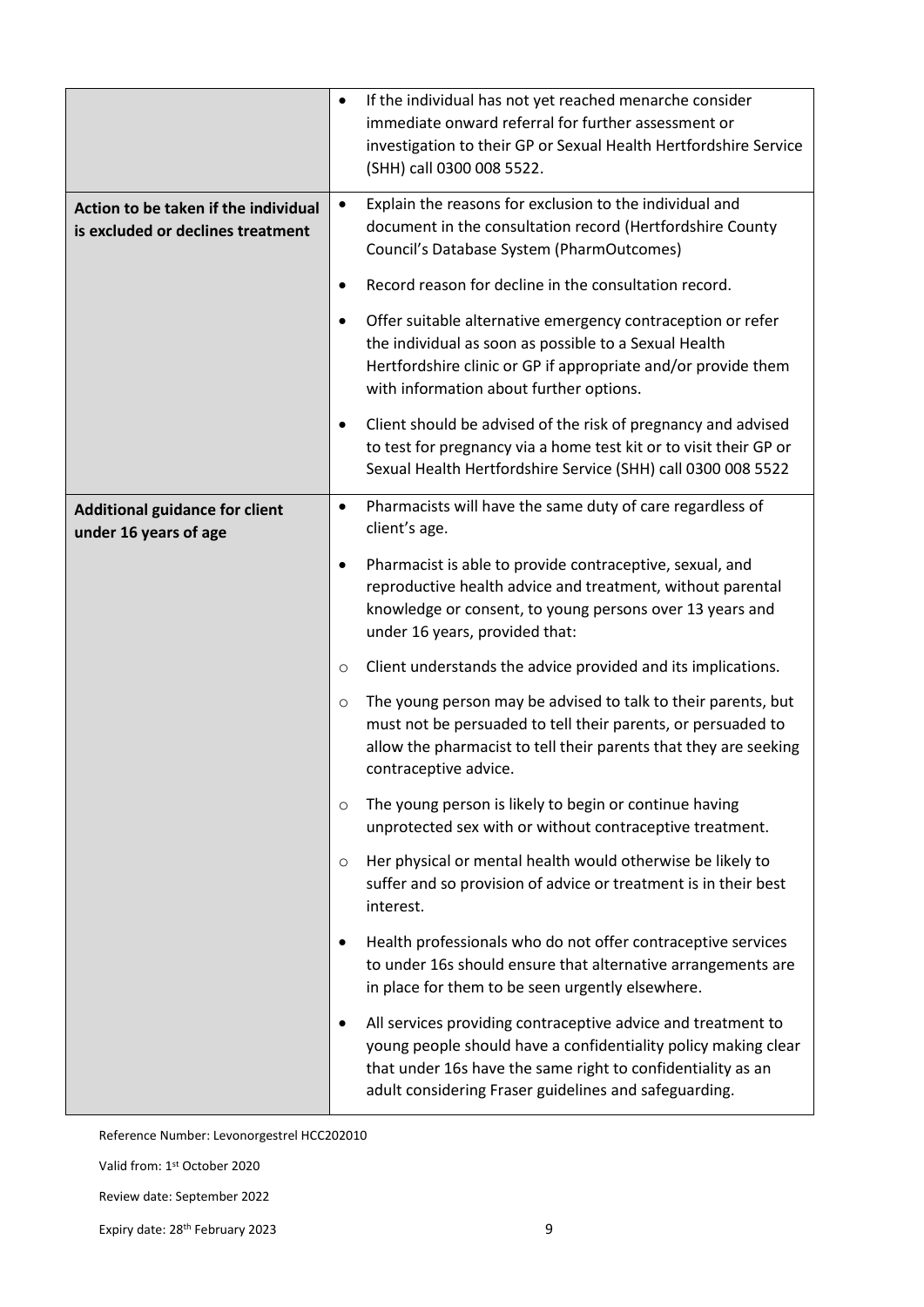|                                                                           | $\bullet$ | If the individual has not yet reached menarche consider<br>immediate onward referral for further assessment or<br>investigation to their GP or Sexual Health Hertfordshire Service<br>(SHH) call 0300 008 5522.                                        |
|---------------------------------------------------------------------------|-----------|--------------------------------------------------------------------------------------------------------------------------------------------------------------------------------------------------------------------------------------------------------|
| Action to be taken if the individual<br>is excluded or declines treatment | $\bullet$ | Explain the reasons for exclusion to the individual and<br>document in the consultation record (Hertfordshire County<br>Council's Database System (PharmOutcomes)                                                                                      |
|                                                                           | $\bullet$ | Record reason for decline in the consultation record.                                                                                                                                                                                                  |
|                                                                           |           | Offer suitable alternative emergency contraception or refer<br>the individual as soon as possible to a Sexual Health<br>Hertfordshire clinic or GP if appropriate and/or provide them<br>with information about further options.                       |
|                                                                           | ٠         | Client should be advised of the risk of pregnancy and advised<br>to test for pregnancy via a home test kit or to visit their GP or<br>Sexual Health Hertfordshire Service (SHH) call 0300 008 5522                                                     |
| <b>Additional guidance for client</b><br>under 16 years of age            | $\bullet$ | Pharmacists will have the same duty of care regardless of<br>client's age.                                                                                                                                                                             |
|                                                                           | $\bullet$ | Pharmacist is able to provide contraceptive, sexual, and<br>reproductive health advice and treatment, without parental<br>knowledge or consent, to young persons over 13 years and<br>under 16 years, provided that:                                   |
|                                                                           | $\circ$   | Client understands the advice provided and its implications.                                                                                                                                                                                           |
|                                                                           | $\circ$   | The young person may be advised to talk to their parents, but<br>must not be persuaded to tell their parents, or persuaded to<br>allow the pharmacist to tell their parents that they are seeking<br>contraceptive advice.                             |
|                                                                           | $\circ$   | The young person is likely to begin or continue having<br>unprotected sex with or without contraceptive treatment.                                                                                                                                     |
|                                                                           | $\circ$   | Her physical or mental health would otherwise be likely to<br>suffer and so provision of advice or treatment is in their best<br>interest.                                                                                                             |
|                                                                           | ٠         | Health professionals who do not offer contraceptive services<br>to under 16s should ensure that alternative arrangements are<br>in place for them to be seen urgently elsewhere.                                                                       |
|                                                                           |           | All services providing contraceptive advice and treatment to<br>young people should have a confidentiality policy making clear<br>that under 16s have the same right to confidentiality as an<br>adult considering Fraser guidelines and safeguarding. |

Valid from: 1st October 2020

Review date: September 2022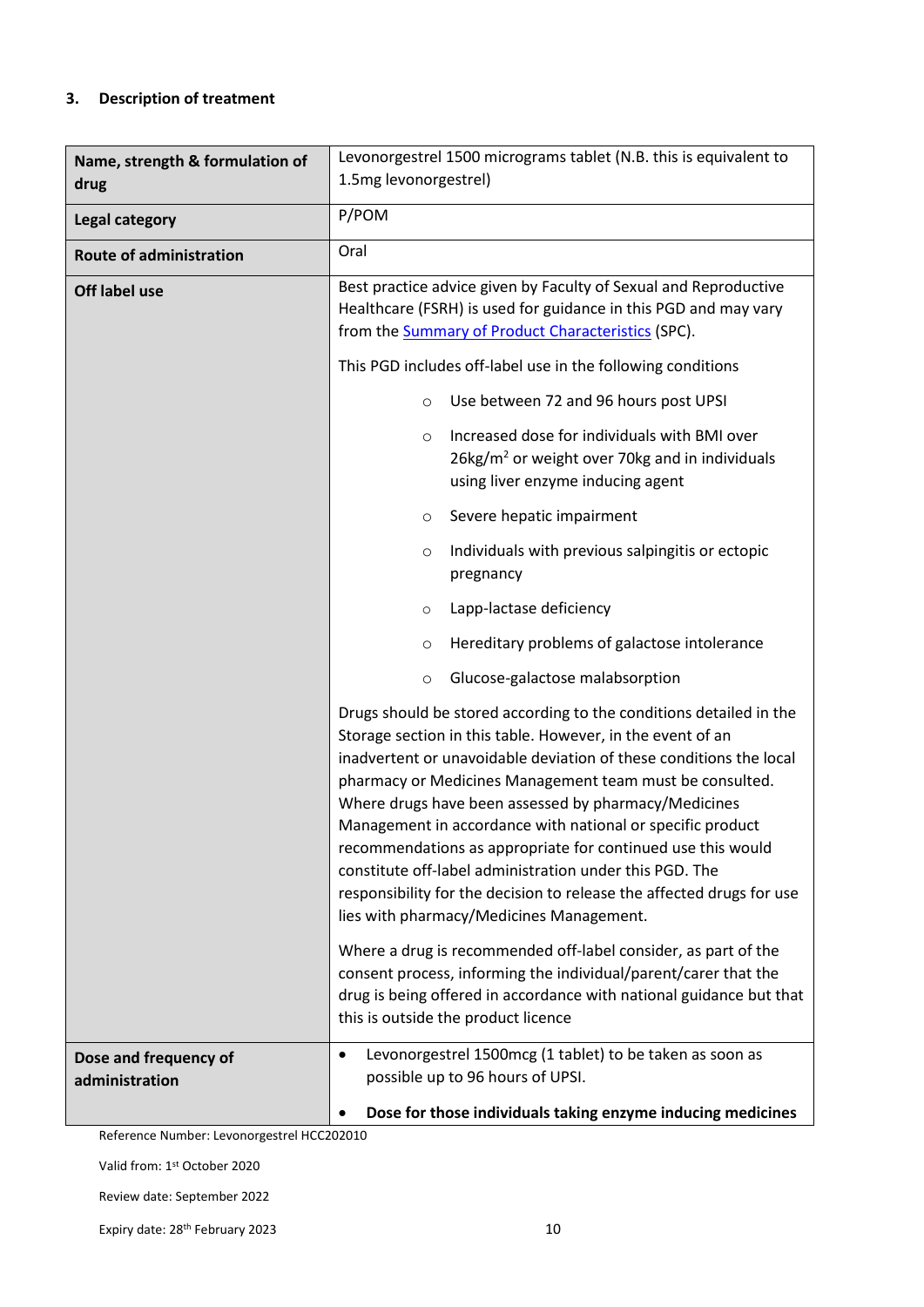#### **3. Description of treatment**

| Name, strength & formulation of<br>drug | Levonorgestrel 1500 micrograms tablet (N.B. this is equivalent to<br>1.5mg levonorgestrel)                                                                                                                                                                                                                                                                                                                                                                                                                                                                                                                                              |  |
|-----------------------------------------|-----------------------------------------------------------------------------------------------------------------------------------------------------------------------------------------------------------------------------------------------------------------------------------------------------------------------------------------------------------------------------------------------------------------------------------------------------------------------------------------------------------------------------------------------------------------------------------------------------------------------------------------|--|
| <b>Legal category</b>                   | P/POM                                                                                                                                                                                                                                                                                                                                                                                                                                                                                                                                                                                                                                   |  |
| <b>Route of administration</b>          | Oral                                                                                                                                                                                                                                                                                                                                                                                                                                                                                                                                                                                                                                    |  |
| Off label use                           | Best practice advice given by Faculty of Sexual and Reproductive<br>Healthcare (FSRH) is used for guidance in this PGD and may vary<br>from the Summary of Product Characteristics (SPC).                                                                                                                                                                                                                                                                                                                                                                                                                                               |  |
|                                         | This PGD includes off-label use in the following conditions                                                                                                                                                                                                                                                                                                                                                                                                                                                                                                                                                                             |  |
|                                         | Use between 72 and 96 hours post UPSI<br>$\circ$                                                                                                                                                                                                                                                                                                                                                                                                                                                                                                                                                                                        |  |
|                                         | Increased dose for individuals with BMI over<br>$\circ$<br>26kg/m <sup>2</sup> or weight over 70kg and in individuals<br>using liver enzyme inducing agent                                                                                                                                                                                                                                                                                                                                                                                                                                                                              |  |
|                                         | Severe hepatic impairment<br>O                                                                                                                                                                                                                                                                                                                                                                                                                                                                                                                                                                                                          |  |
|                                         | Individuals with previous salpingitis or ectopic<br>$\circ$<br>pregnancy                                                                                                                                                                                                                                                                                                                                                                                                                                                                                                                                                                |  |
|                                         | Lapp-lactase deficiency<br>$\circ$                                                                                                                                                                                                                                                                                                                                                                                                                                                                                                                                                                                                      |  |
|                                         | Hereditary problems of galactose intolerance<br>$\circ$                                                                                                                                                                                                                                                                                                                                                                                                                                                                                                                                                                                 |  |
|                                         | Glucose-galactose malabsorption<br>$\circ$                                                                                                                                                                                                                                                                                                                                                                                                                                                                                                                                                                                              |  |
|                                         | Drugs should be stored according to the conditions detailed in the<br>Storage section in this table. However, in the event of an<br>inadvertent or unavoidable deviation of these conditions the local<br>pharmacy or Medicines Management team must be consulted.<br>Where drugs have been assessed by pharmacy/Medicines<br>Management in accordance with national or specific product<br>recommendations as appropriate for continued use this would<br>constitute off-label administration under this PGD. The<br>responsibility for the decision to release the affected drugs for use<br>lies with pharmacy/Medicines Management. |  |
|                                         | Where a drug is recommended off-label consider, as part of the<br>consent process, informing the individual/parent/carer that the<br>drug is being offered in accordance with national guidance but that<br>this is outside the product licence                                                                                                                                                                                                                                                                                                                                                                                         |  |
| Dose and frequency of<br>administration | Levonorgestrel 1500mcg (1 tablet) to be taken as soon as<br>$\bullet$<br>possible up to 96 hours of UPSI.<br>Dose for those individuals taking enzyme inducing medicines                                                                                                                                                                                                                                                                                                                                                                                                                                                                |  |

Reference Number: Levonorgestrel HCC202010

Valid from: 1st October 2020

Review date: September 2022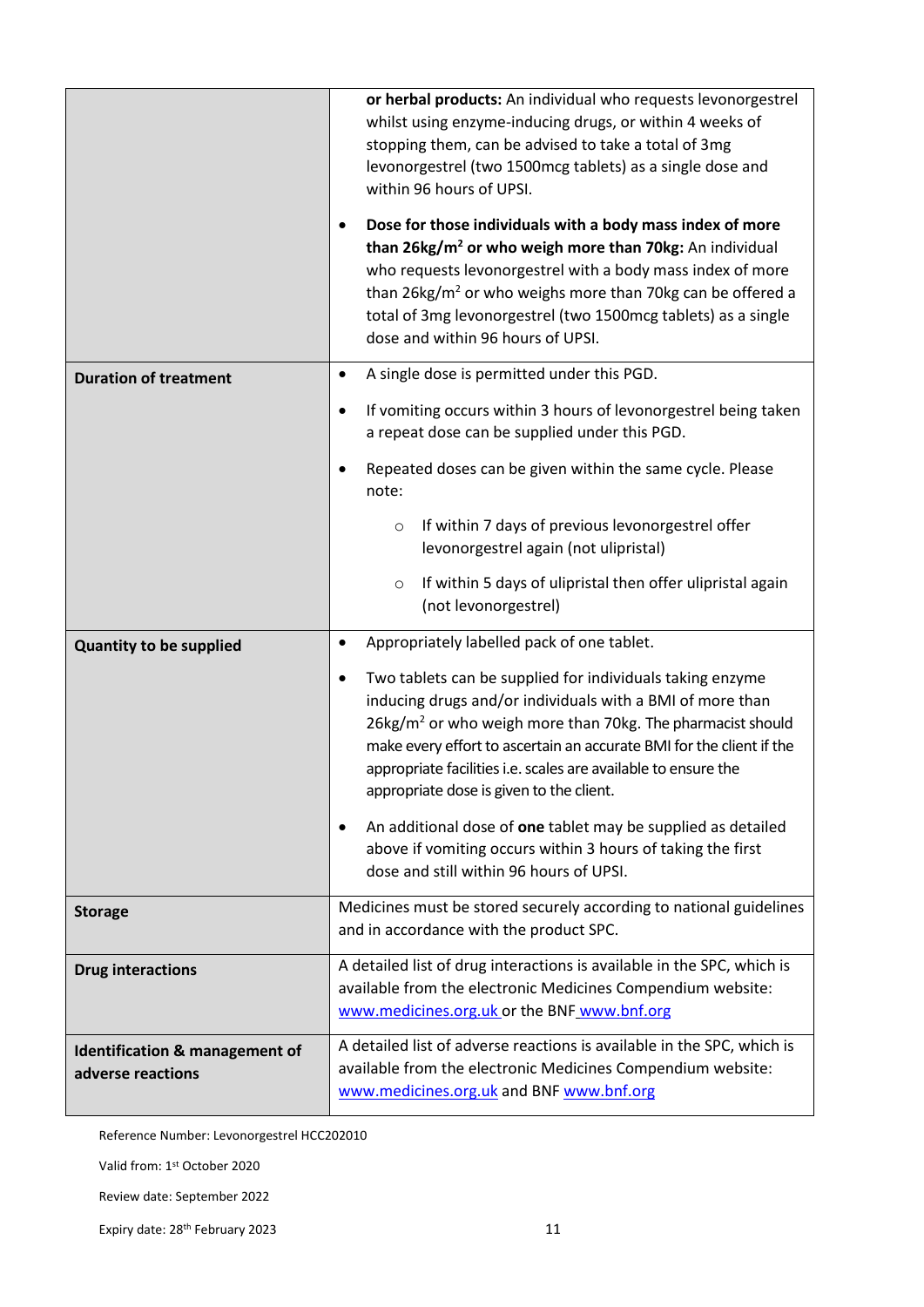|                                                     | or herbal products: An individual who requests levonorgestrel<br>whilst using enzyme-inducing drugs, or within 4 weeks of<br>stopping them, can be advised to take a total of 3mg<br>levonorgestrel (two 1500mcg tablets) as a single dose and<br>within 96 hours of UPSI.<br>Dose for those individuals with a body mass index of more<br>٠<br>than 26kg/m <sup>2</sup> or who weigh more than 70kg: An individual<br>who requests levonorgestrel with a body mass index of more<br>than 26kg/m <sup>2</sup> or who weighs more than 70kg can be offered a<br>total of 3mg levonorgestrel (two 1500mcg tablets) as a single<br>dose and within 96 hours of UPSI. |
|-----------------------------------------------------|-------------------------------------------------------------------------------------------------------------------------------------------------------------------------------------------------------------------------------------------------------------------------------------------------------------------------------------------------------------------------------------------------------------------------------------------------------------------------------------------------------------------------------------------------------------------------------------------------------------------------------------------------------------------|
| <b>Duration of treatment</b>                        | A single dose is permitted under this PGD.<br>$\bullet$<br>If vomiting occurs within 3 hours of levonorgestrel being taken<br>٠<br>a repeat dose can be supplied under this PGD.<br>Repeated doses can be given within the same cycle. Please<br>$\bullet$<br>note:                                                                                                                                                                                                                                                                                                                                                                                               |
|                                                     | If within 7 days of previous levonorgestrel offer<br>$\circ$<br>levonorgestrel again (not ulipristal)<br>If within 5 days of ulipristal then offer ulipristal again<br>$\circ$<br>(not levonorgestrel)                                                                                                                                                                                                                                                                                                                                                                                                                                                            |
| <b>Quantity to be supplied</b>                      | Appropriately labelled pack of one tablet.<br>$\bullet$<br>Two tablets can be supplied for individuals taking enzyme<br>٠<br>inducing drugs and/or individuals with a BMI of more than<br>26kg/m <sup>2</sup> or who weigh more than 70kg. The pharmacist should<br>make every effort to ascertain an accurate BMI for the client if the<br>appropriate facilities i.e. scales are available to ensure the<br>appropriate dose is given to the client.<br>An additional dose of one tablet may be supplied as detailed<br>$\bullet$<br>above if vomiting occurs within 3 hours of taking the first<br>dose and still within 96 hours of UPSI.                     |
| <b>Storage</b>                                      | Medicines must be stored securely according to national guidelines<br>and in accordance with the product SPC.                                                                                                                                                                                                                                                                                                                                                                                                                                                                                                                                                     |
| <b>Drug interactions</b>                            | A detailed list of drug interactions is available in the SPC, which is<br>available from the electronic Medicines Compendium website:<br>www.medicines.org.uk or the BNF www.bnf.org                                                                                                                                                                                                                                                                                                                                                                                                                                                                              |
| Identification & management of<br>adverse reactions | A detailed list of adverse reactions is available in the SPC, which is<br>available from the electronic Medicines Compendium website:<br>www.medicines.org.uk and BNF www.bnf.org                                                                                                                                                                                                                                                                                                                                                                                                                                                                                 |

Valid from: 1st October 2020

Review date: September 2022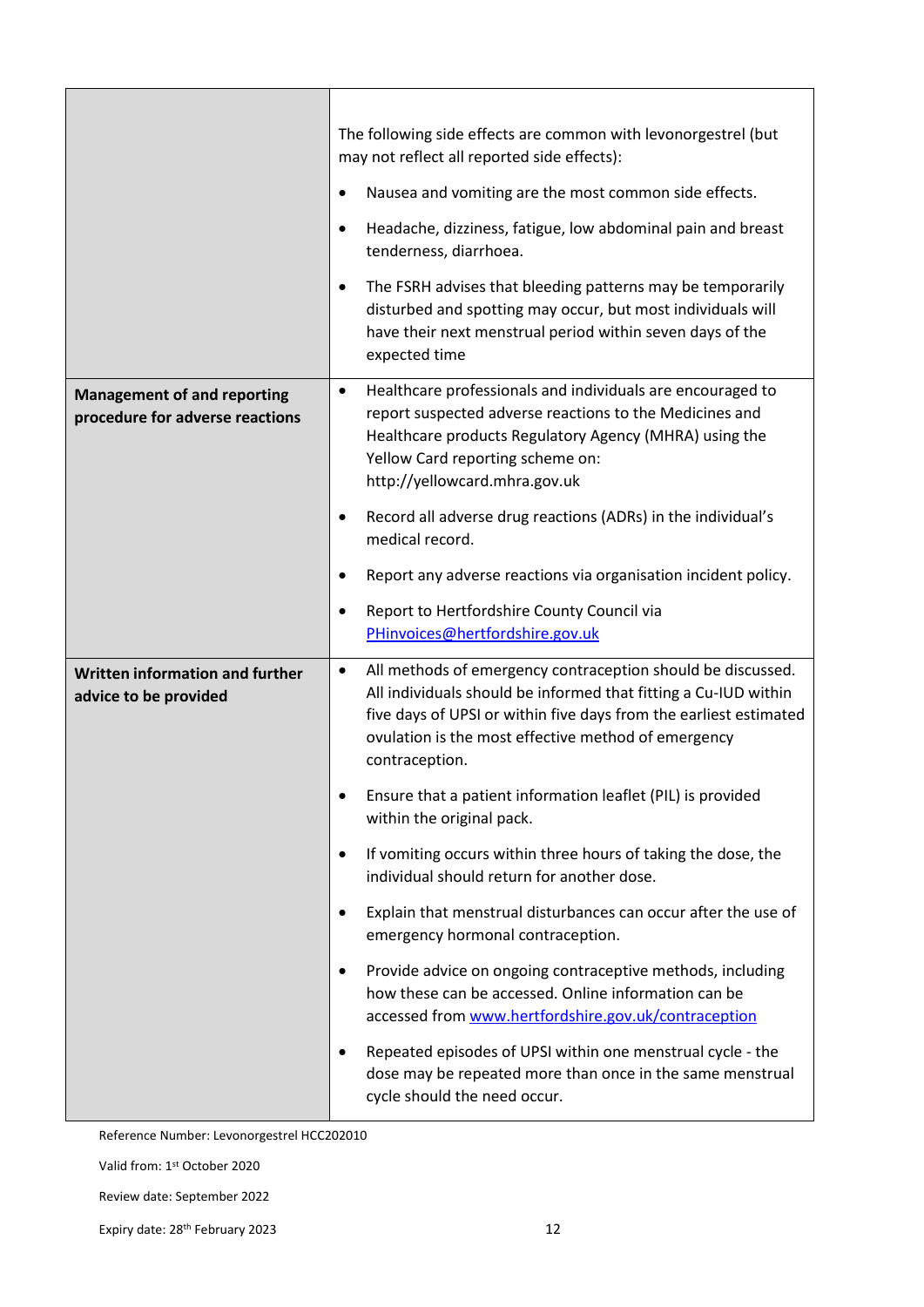|                                                                       | The following side effects are common with levonorgestrel (but<br>may not reflect all reported side effects):                                                                                                                                                                             |
|-----------------------------------------------------------------------|-------------------------------------------------------------------------------------------------------------------------------------------------------------------------------------------------------------------------------------------------------------------------------------------|
|                                                                       | Nausea and vomiting are the most common side effects.<br>٠                                                                                                                                                                                                                                |
|                                                                       | Headache, dizziness, fatigue, low abdominal pain and breast<br>$\bullet$<br>tenderness, diarrhoea.                                                                                                                                                                                        |
|                                                                       | The FSRH advises that bleeding patterns may be temporarily<br>$\bullet$<br>disturbed and spotting may occur, but most individuals will<br>have their next menstrual period within seven days of the<br>expected time                                                                      |
| <b>Management of and reporting</b><br>procedure for adverse reactions | Healthcare professionals and individuals are encouraged to<br>$\bullet$<br>report suspected adverse reactions to the Medicines and<br>Healthcare products Regulatory Agency (MHRA) using the<br>Yellow Card reporting scheme on:<br>http://yellowcard.mhra.gov.uk                         |
|                                                                       | Record all adverse drug reactions (ADRs) in the individual's<br>$\bullet$<br>medical record.                                                                                                                                                                                              |
|                                                                       | Report any adverse reactions via organisation incident policy.<br>٠                                                                                                                                                                                                                       |
|                                                                       | Report to Hertfordshire County Council via<br>$\bullet$<br>PHinvoices@hertfordshire.gov.uk                                                                                                                                                                                                |
| Written information and further<br>advice to be provided              | All methods of emergency contraception should be discussed.<br>$\bullet$<br>All individuals should be informed that fitting a Cu-IUD within<br>five days of UPSI or within five days from the earliest estimated<br>ovulation is the most effective method of emergency<br>contraception. |
|                                                                       | Ensure that a patient information leaflet (PIL) is provided<br>$\bullet$<br>within the original pack.                                                                                                                                                                                     |
|                                                                       | If vomiting occurs within three hours of taking the dose, the<br>$\bullet$<br>individual should return for another dose.                                                                                                                                                                  |
|                                                                       | Explain that menstrual disturbances can occur after the use of<br>$\bullet$<br>emergency hormonal contraception.                                                                                                                                                                          |
|                                                                       | Provide advice on ongoing contraceptive methods, including<br>$\bullet$<br>how these can be accessed. Online information can be<br>accessed from www.hertfordshire.gov.uk/contraception                                                                                                   |
|                                                                       | Repeated episodes of UPSI within one menstrual cycle - the<br>٠<br>dose may be repeated more than once in the same menstrual<br>cycle should the need occur.                                                                                                                              |

Valid from: 1st October 2020

Review date: September 2022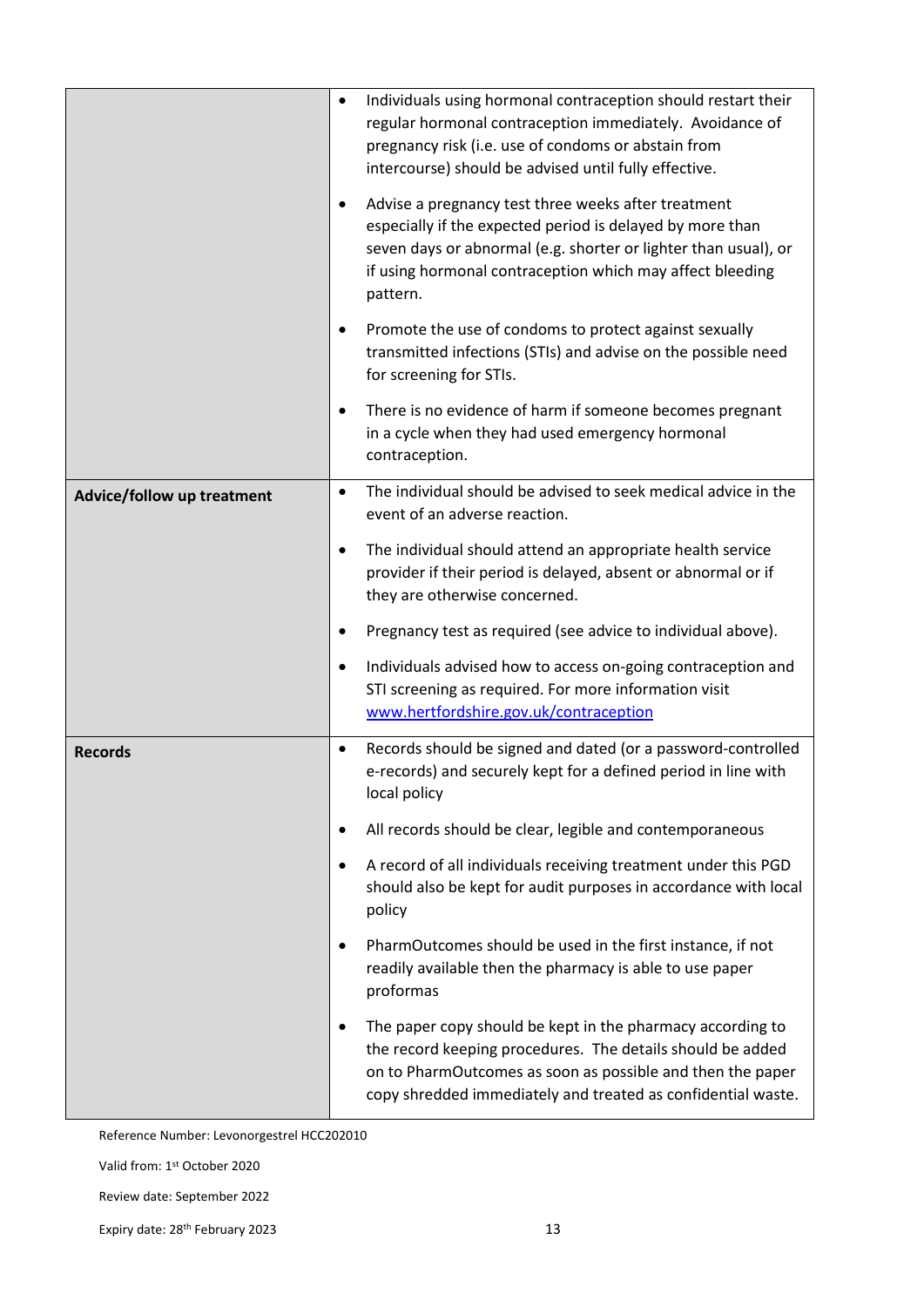|                            | ٠         | Individuals using hormonal contraception should restart their<br>regular hormonal contraception immediately. Avoidance of<br>pregnancy risk (i.e. use of condoms or abstain from<br>intercourse) should be advised until fully effective.<br>Advise a pregnancy test three weeks after treatment<br>especially if the expected period is delayed by more than<br>seven days or abnormal (e.g. shorter or lighter than usual), or<br>if using hormonal contraception which may affect bleeding<br>pattern. |
|----------------------------|-----------|-----------------------------------------------------------------------------------------------------------------------------------------------------------------------------------------------------------------------------------------------------------------------------------------------------------------------------------------------------------------------------------------------------------------------------------------------------------------------------------------------------------|
|                            | ٠         | Promote the use of condoms to protect against sexually<br>transmitted infections (STIs) and advise on the possible need<br>for screening for STIs.                                                                                                                                                                                                                                                                                                                                                        |
|                            |           | There is no evidence of harm if someone becomes pregnant<br>in a cycle when they had used emergency hormonal<br>contraception.                                                                                                                                                                                                                                                                                                                                                                            |
| Advice/follow up treatment | $\bullet$ | The individual should be advised to seek medical advice in the<br>event of an adverse reaction.                                                                                                                                                                                                                                                                                                                                                                                                           |
|                            |           | The individual should attend an appropriate health service<br>provider if their period is delayed, absent or abnormal or if<br>they are otherwise concerned.                                                                                                                                                                                                                                                                                                                                              |
|                            |           | Pregnancy test as required (see advice to individual above).                                                                                                                                                                                                                                                                                                                                                                                                                                              |
|                            | ٠         | Individuals advised how to access on-going contraception and<br>STI screening as required. For more information visit<br>www.hertfordshire.gov.uk/contraception                                                                                                                                                                                                                                                                                                                                           |
| <b>Records</b>             | $\bullet$ | Records should be signed and dated (or a password-controlled<br>e-records) and securely kept for a defined period in line with<br>local policy                                                                                                                                                                                                                                                                                                                                                            |
|                            |           | All records should be clear, legible and contemporaneous                                                                                                                                                                                                                                                                                                                                                                                                                                                  |
|                            | ٠         | A record of all individuals receiving treatment under this PGD<br>should also be kept for audit purposes in accordance with local<br>policy                                                                                                                                                                                                                                                                                                                                                               |
|                            |           | PharmOutcomes should be used in the first instance, if not<br>readily available then the pharmacy is able to use paper<br>proformas                                                                                                                                                                                                                                                                                                                                                                       |
|                            |           | The paper copy should be kept in the pharmacy according to<br>the record keeping procedures. The details should be added<br>on to PharmOutcomes as soon as possible and then the paper<br>copy shredded immediately and treated as confidential waste.                                                                                                                                                                                                                                                    |

Valid from: 1st October 2020

Review date: September 2022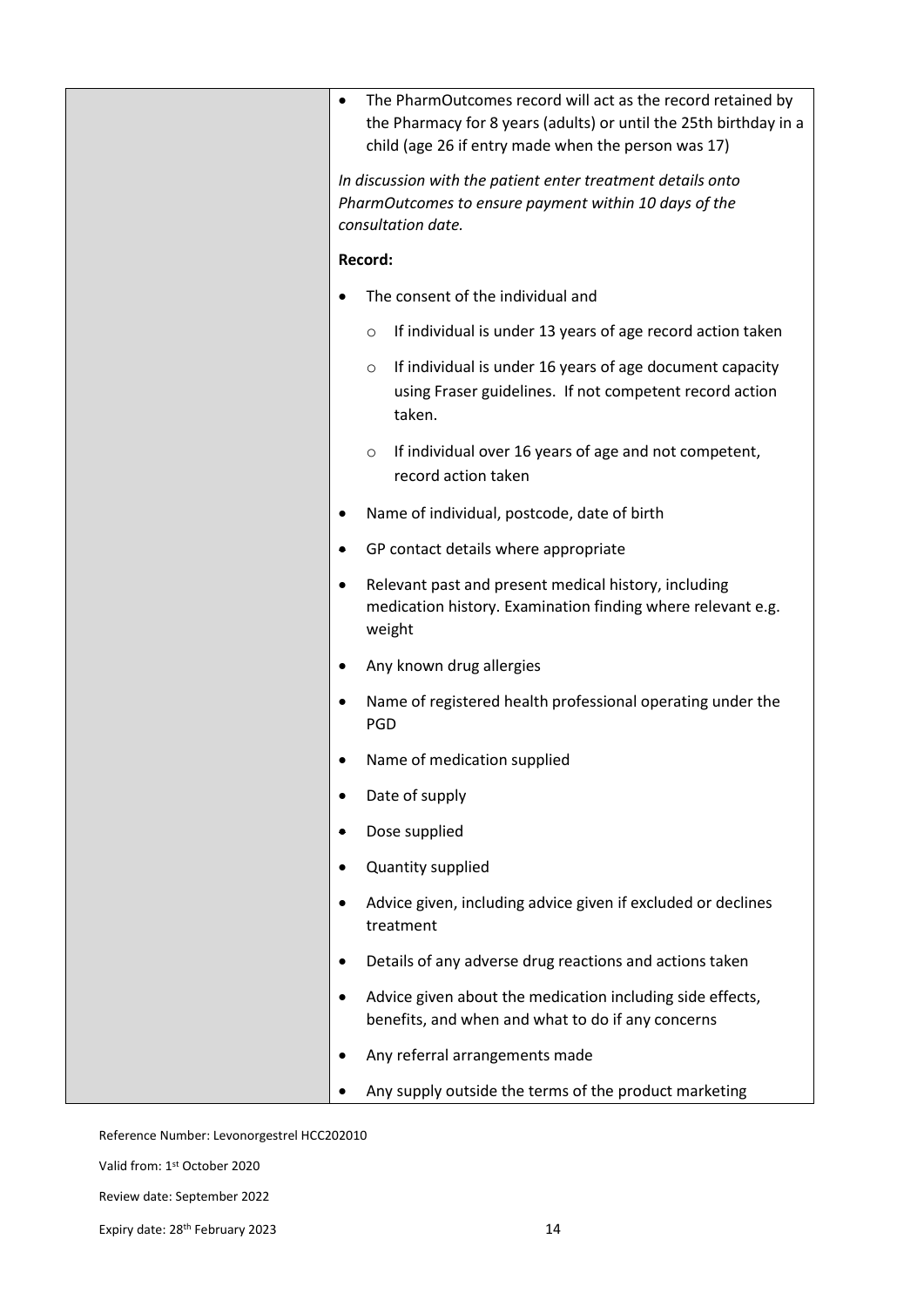| $\bullet$ | The PharmOutcomes record will act as the record retained by<br>the Pharmacy for 8 years (adults) or until the 25th birthday in a<br>child (age 26 if entry made when the person was 17) |
|-----------|-----------------------------------------------------------------------------------------------------------------------------------------------------------------------------------------|
|           | In discussion with the patient enter treatment details onto<br>PharmOutcomes to ensure payment within 10 days of the<br>consultation date.                                              |
|           | Record:                                                                                                                                                                                 |
|           | The consent of the individual and                                                                                                                                                       |
|           | If individual is under 13 years of age record action taken<br>$\circ$                                                                                                                   |
|           | If individual is under 16 years of age document capacity<br>O<br>using Fraser guidelines. If not competent record action<br>taken.                                                      |
|           | If individual over 16 years of age and not competent,<br>$\circ$<br>record action taken                                                                                                 |
|           | Name of individual, postcode, date of birth                                                                                                                                             |
| ٠         | GP contact details where appropriate                                                                                                                                                    |
| $\bullet$ | Relevant past and present medical history, including<br>medication history. Examination finding where relevant e.g.<br>weight                                                           |
|           | Any known drug allergies                                                                                                                                                                |
|           | Name of registered health professional operating under the<br><b>PGD</b>                                                                                                                |
|           | Name of medication supplied                                                                                                                                                             |
|           | Date of supply                                                                                                                                                                          |
|           | Dose supplied                                                                                                                                                                           |
|           | Quantity supplied                                                                                                                                                                       |
|           | Advice given, including advice given if excluded or declines<br>treatment                                                                                                               |
|           | Details of any adverse drug reactions and actions taken                                                                                                                                 |
|           | Advice given about the medication including side effects,<br>benefits, and when and what to do if any concerns                                                                          |
|           | Any referral arrangements made                                                                                                                                                          |
|           | Any supply outside the terms of the product marketing                                                                                                                                   |

Valid from: 1st October 2020

Review date: September 2022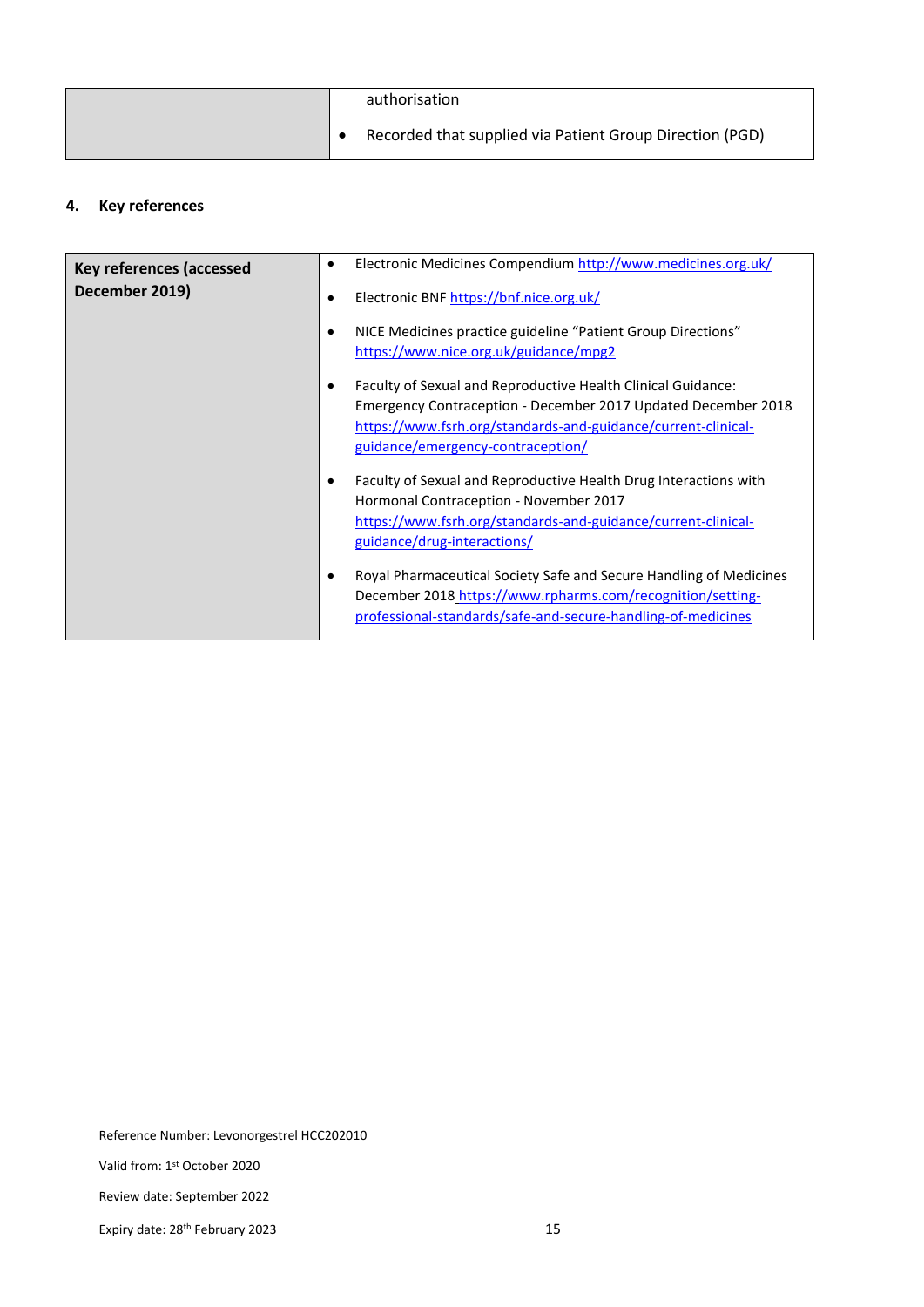|  | authorisation                                            |
|--|----------------------------------------------------------|
|  | Recorded that supplied via Patient Group Direction (PGD) |

#### **4. Key references**

| <b>Key references (accessed</b><br>December 2019) | Electronic Medicines Compendium http://www.medicines.org.uk/<br>Electronic BNF https://bnf.nice.org.uk/                                                                                                                             |
|---------------------------------------------------|-------------------------------------------------------------------------------------------------------------------------------------------------------------------------------------------------------------------------------------|
|                                                   | NICE Medicines practice guideline "Patient Group Directions"<br>https://www.nice.org.uk/guidance/mpg2                                                                                                                               |
|                                                   | Faculty of Sexual and Reproductive Health Clinical Guidance:<br>Emergency Contraception - December 2017 Updated December 2018<br>https://www.fsrh.org/standards-and-guidance/current-clinical-<br>guidance/emergency-contraception/ |
|                                                   | Faculty of Sexual and Reproductive Health Drug Interactions with<br>Hormonal Contraception - November 2017<br>https://www.fsrh.org/standards-and-guidance/current-clinical-<br>guidance/drug-interactions/                          |
|                                                   | Royal Pharmaceutical Society Safe and Secure Handling of Medicines<br>December 2018 https://www.rpharms.com/recognition/setting-<br>professional-standards/safe-and-secure-handling-of-medicines                                    |

Reference Number: Levonorgestrel HCC202010

Valid from: 1st October 2020

Review date: September 2022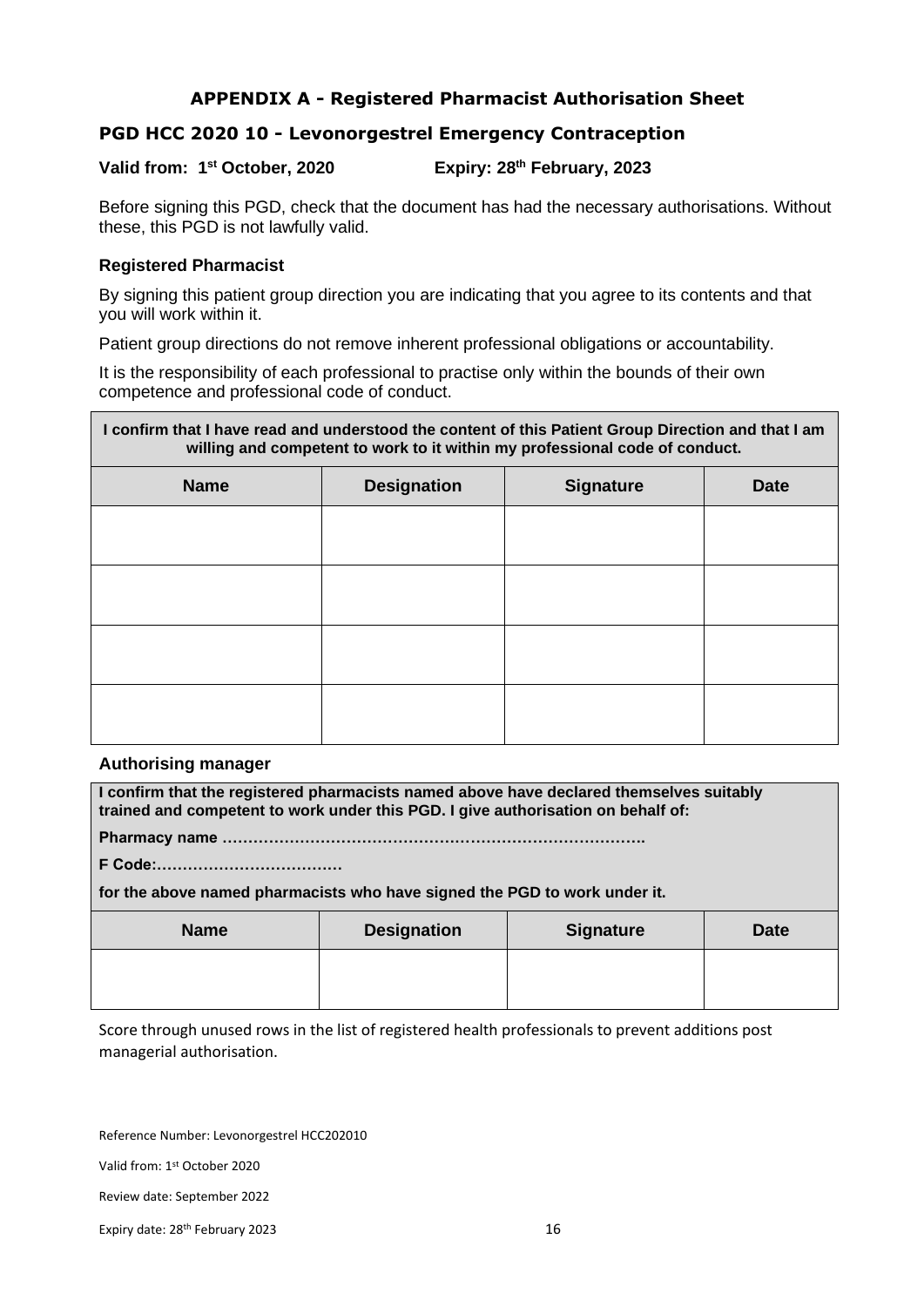#### **APPENDIX A - Registered Pharmacist Authorisation Sheet**

#### **PGD HCC 2020 10 - Levonorgestrel Emergency Contraception**

#### Valid from: 1<sup>st</sup> October, 2020 **st October, 2020 Expiry: 28th February, 2023**

Before signing this PGD, check that the document has had the necessary authorisations. Without these, this PGD is not lawfully valid.

#### **Registered Pharmacist**

By signing this patient group direction you are indicating that you agree to its contents and that you will work within it.

Patient group directions do not remove inherent professional obligations or accountability.

It is the responsibility of each professional to practise only within the bounds of their own competence and professional code of conduct.

# **I confirm that I have read and understood the content of this Patient Group Direction and that I am willing and competent to work to it within my professional code of conduct. Name Designation Signature Date**

#### **Authorising manager**

**I confirm that the registered pharmacists named above have declared themselves suitably trained and competent to work under this PGD. I give authorisation on behalf of:**

**Pharmacy name ……………………………………………………………………….**

**F Code:………………………………** 

**for the above named pharmacists who have signed the PGD to work under it.**

| <b>Name</b> | <b>Designation</b> | <b>Signature</b> | <b>Date</b> |
|-------------|--------------------|------------------|-------------|
|             |                    |                  |             |

Score through unused rows in the list of registered health professionals to prevent additions post managerial authorisation.

Reference Number: Levonorgestrel HCC202010

Valid from: 1st October 2020

Review date: September 2022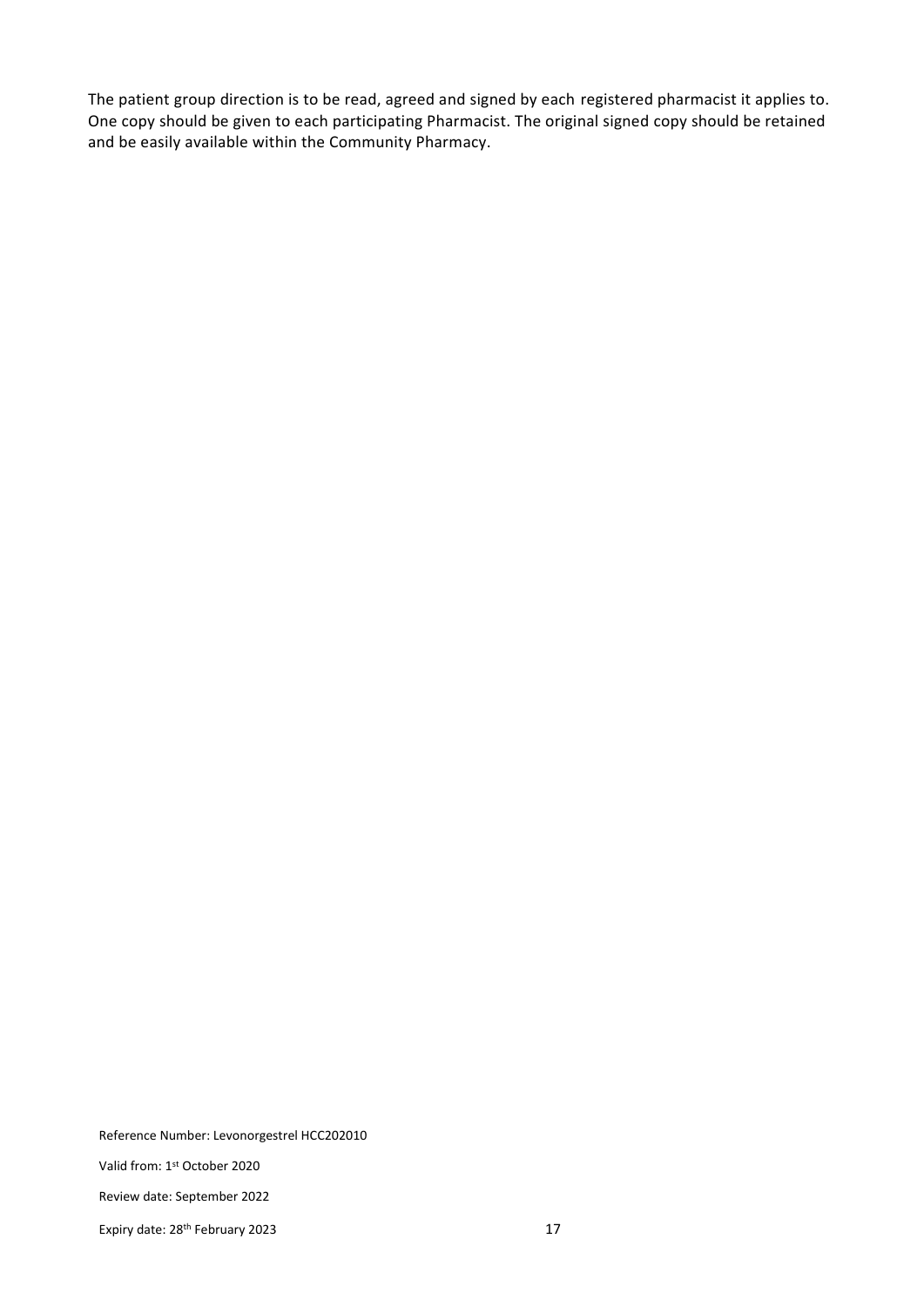The patient group direction is to be read, agreed and signed by each registered pharmacist it applies to. One copy should be given to each participating Pharmacist. The original signed copy should be retained and be easily available within the Community Pharmacy.

Reference Number: Levonorgestrel HCC202010

Valid from: 1st October 2020

Review date: September 2022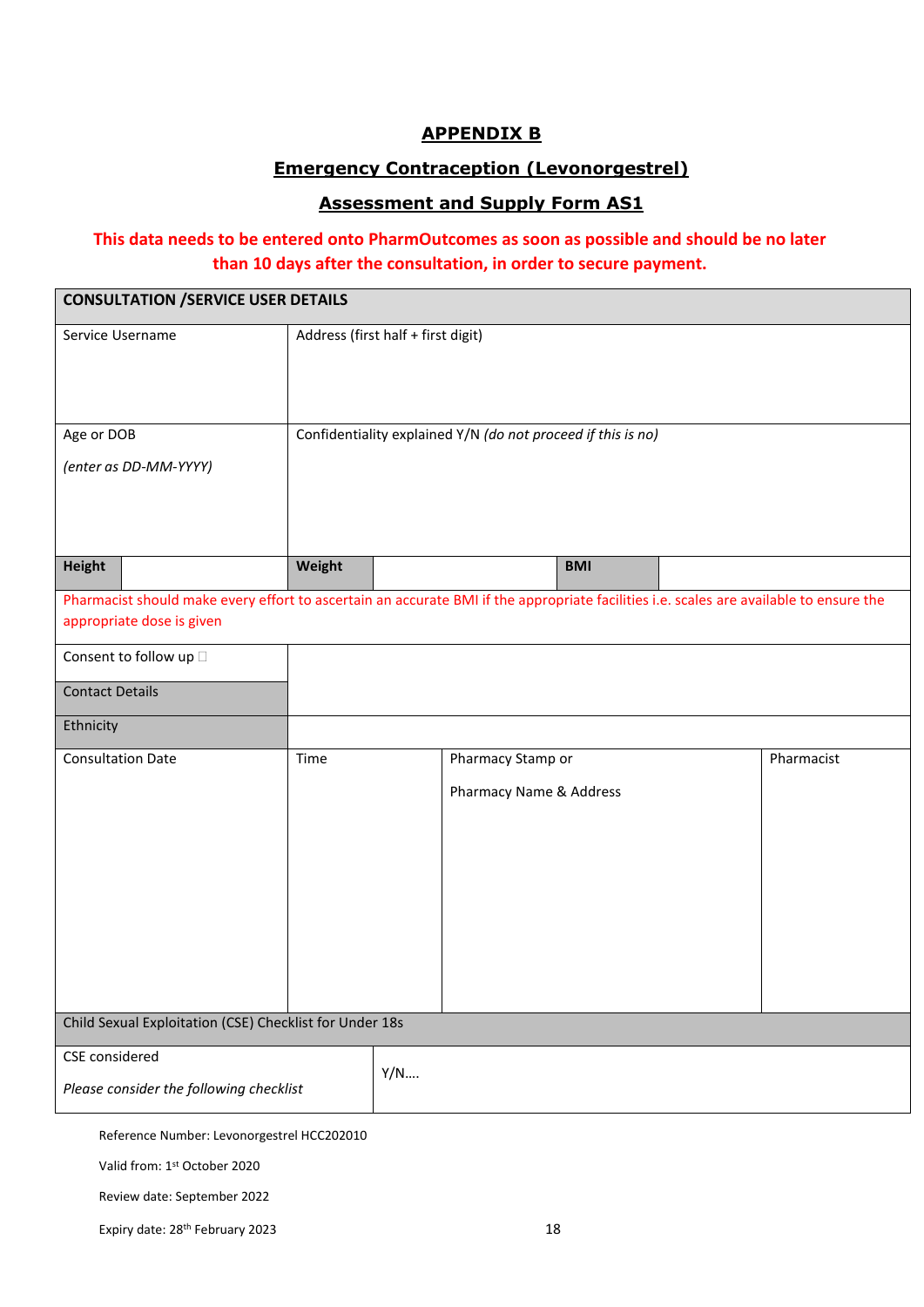#### **APPENDIX B**

#### **Emergency Contraception (Levonorgestrel)**

#### **Assessment and Supply Form AS1**

#### **This data needs to be entered onto PharmOutcomes as soon as possible and should be no later than 10 days after the consultation, in order to secure payment.**

| <b>CONSULTATION /SERVICE USER DETAILS</b>                                                                                                                           |                                    |     |                                                              |            |            |
|---------------------------------------------------------------------------------------------------------------------------------------------------------------------|------------------------------------|-----|--------------------------------------------------------------|------------|------------|
| Service Username                                                                                                                                                    | Address (first half + first digit) |     |                                                              |            |            |
| Age or DOB<br>(enter as DD-MM-YYYY)                                                                                                                                 |                                    |     | Confidentiality explained Y/N (do not proceed if this is no) |            |            |
| <b>Height</b>                                                                                                                                                       | Weight                             |     |                                                              | <b>BMI</b> |            |
| Pharmacist should make every effort to ascertain an accurate BMI if the appropriate facilities i.e. scales are available to ensure the<br>appropriate dose is given |                                    |     |                                                              |            |            |
| Consent to follow up $\Box$                                                                                                                                         |                                    |     |                                                              |            |            |
| <b>Contact Details</b>                                                                                                                                              |                                    |     |                                                              |            |            |
| Ethnicity                                                                                                                                                           |                                    |     |                                                              |            |            |
| <b>Consultation Date</b>                                                                                                                                            | Time                               |     | Pharmacy Stamp or<br>Pharmacy Name & Address                 |            | Pharmacist |
| Child Sexual Exploitation (CSE) Checklist for Under 18s                                                                                                             |                                    |     |                                                              |            |            |
| CSE considered<br>Please consider the following checklist                                                                                                           |                                    | Y/N |                                                              |            |            |
| Reference Number: Levonorgestrel HCC202010                                                                                                                          |                                    |     |                                                              |            |            |

Valid from: 1st October 2020

Review date: September 2022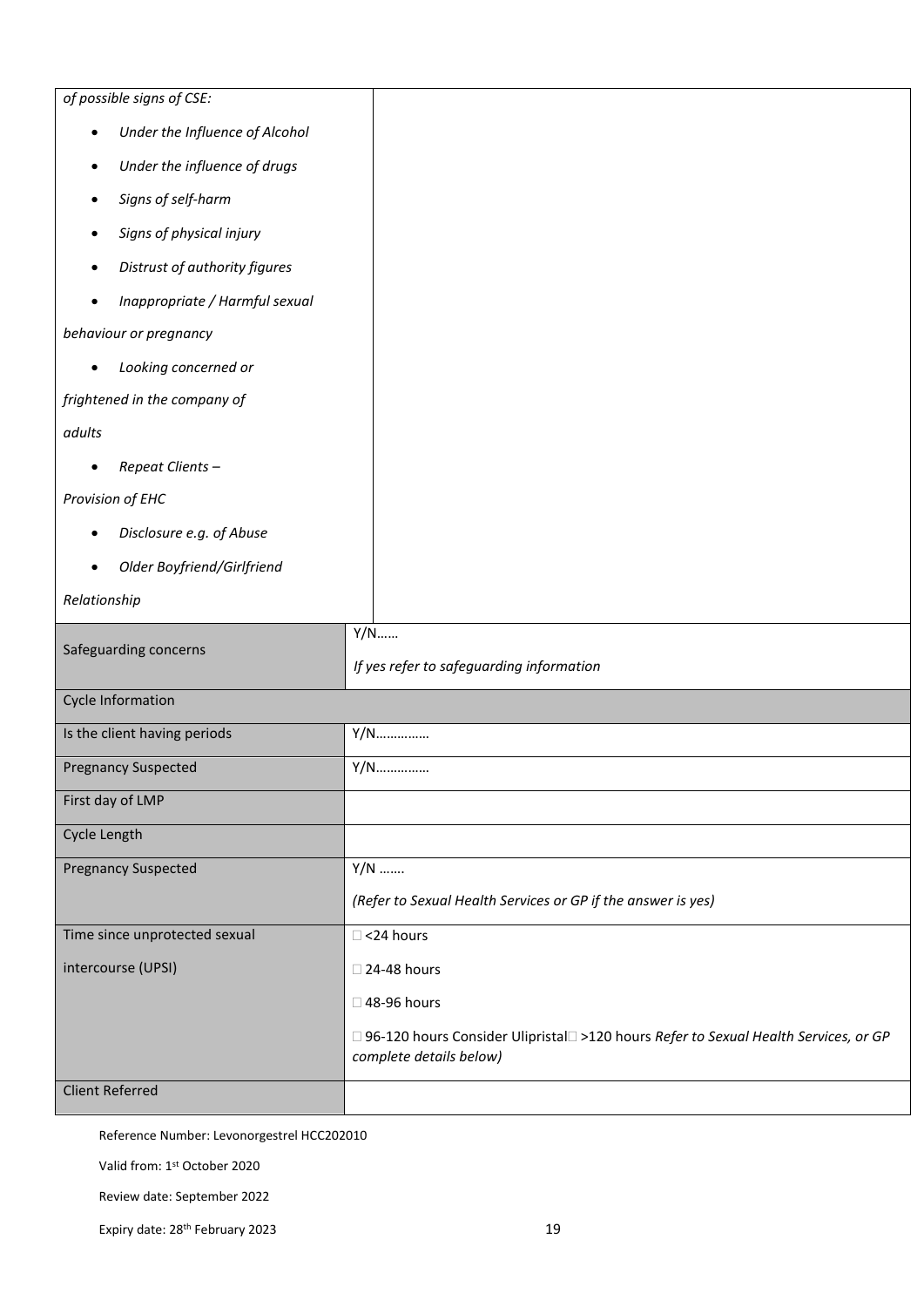| of possible signs of CSE:                   |                                                                                                                  |
|---------------------------------------------|------------------------------------------------------------------------------------------------------------------|
| Under the Influence of Alcohol<br>$\bullet$ |                                                                                                                  |
| Under the influence of drugs<br>$\bullet$   |                                                                                                                  |
| Signs of self-harm<br>$\bullet$             |                                                                                                                  |
| Signs of physical injury<br>$\bullet$       |                                                                                                                  |
| Distrust of authority figures<br>$\bullet$  |                                                                                                                  |
| Inappropriate / Harmful sexual<br>$\bullet$ |                                                                                                                  |
| behaviour or pregnancy                      |                                                                                                                  |
| Looking concerned or<br>$\bullet$           |                                                                                                                  |
| frightened in the company of                |                                                                                                                  |
| adults                                      |                                                                                                                  |
| Repeat Clients-                             |                                                                                                                  |
| Provision of EHC                            |                                                                                                                  |
| Disclosure e.g. of Abuse<br>$\bullet$       |                                                                                                                  |
| Older Boyfriend/Girlfriend<br>$\bullet$     |                                                                                                                  |
| Relationship                                |                                                                                                                  |
|                                             | $Y/N$                                                                                                            |
| Safeguarding concerns                       | If yes refer to safeguarding information                                                                         |
| <b>Cycle Information</b>                    |                                                                                                                  |
| Is the client having periods                | Y/N                                                                                                              |
| <b>Pregnancy Suspected</b>                  | Y/N                                                                                                              |
| First day of LMP                            |                                                                                                                  |
| Cycle Length                                |                                                                                                                  |
| <b>Pregnancy Suspected</b>                  | $Y/N$                                                                                                            |
|                                             | (Refer to Sexual Health Services or GP if the answer is yes)                                                     |
| Time since unprotected sexual               | $\Box$ <24 hours                                                                                                 |
| intercourse (UPSI)                          | □ 24-48 hours                                                                                                    |
|                                             | □ 48-96 hours                                                                                                    |
|                                             | □ 96-120 hours Consider Ulipristal□ >120 hours Refer to Sexual Health Services, or GP<br>complete details below) |
| <b>Client Referred</b>                      |                                                                                                                  |
|                                             |                                                                                                                  |

Valid from: 1st October 2020

Review date: September 2022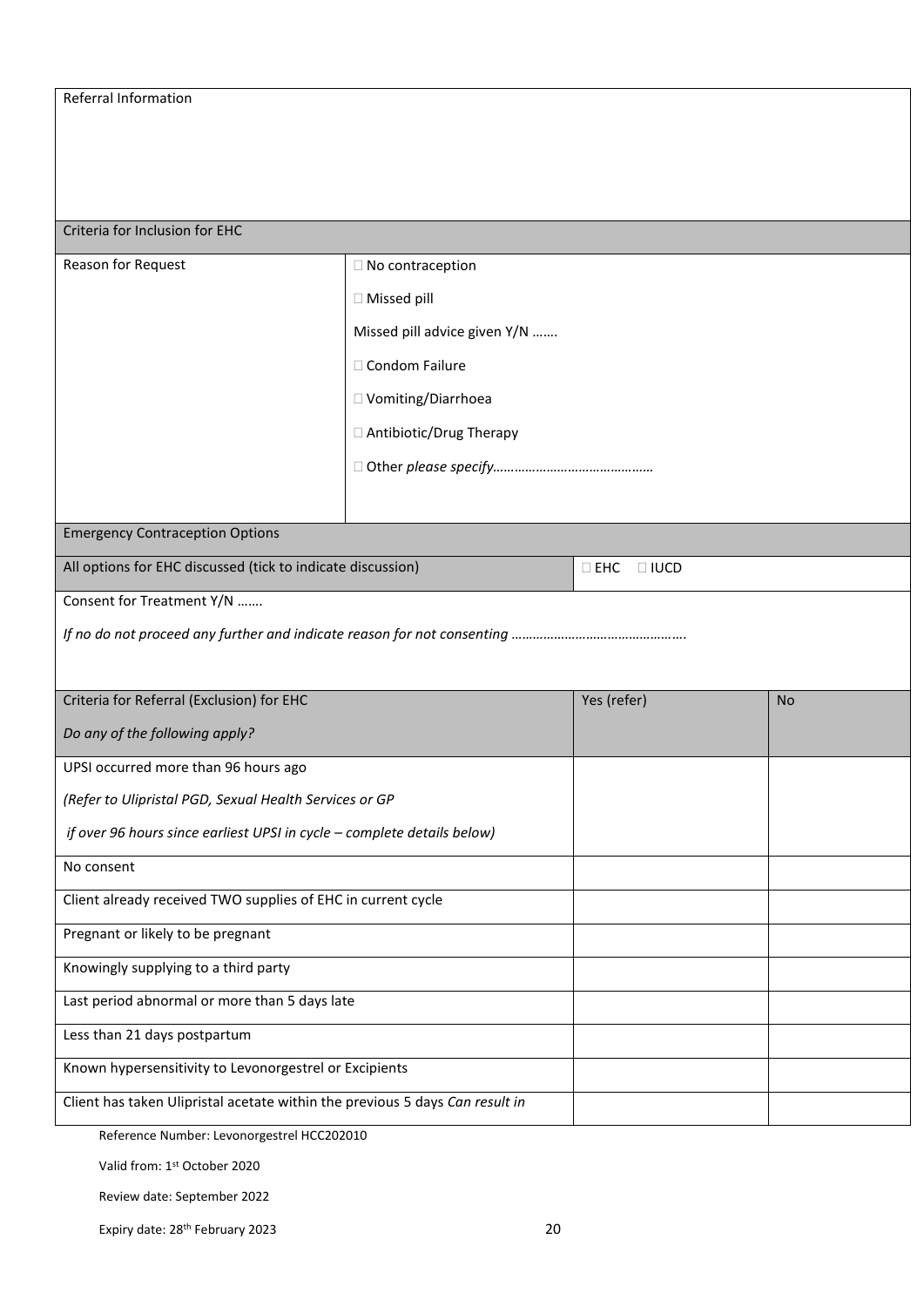#### Criteria for Inclusion for EHC

| Reason for Request                                                           | □ No contraception           |                              |           |
|------------------------------------------------------------------------------|------------------------------|------------------------------|-----------|
|                                                                              |                              |                              |           |
|                                                                              | $\Box$ Missed pill           |                              |           |
|                                                                              | Missed pill advice given Y/N |                              |           |
|                                                                              | □ Condom Failure             |                              |           |
|                                                                              | □ Vomiting/Diarrhoea         |                              |           |
|                                                                              | □ Antibiotic/Drug Therapy    |                              |           |
|                                                                              |                              |                              |           |
|                                                                              |                              |                              |           |
| <b>Emergency Contraception Options</b>                                       |                              |                              |           |
| All options for EHC discussed (tick to indicate discussion)                  |                              | $\square$ EHC<br>$\Box$ IUCD |           |
|                                                                              |                              |                              |           |
| Consent for Treatment Y/N                                                    |                              |                              |           |
|                                                                              |                              |                              |           |
|                                                                              |                              |                              |           |
| Criteria for Referral (Exclusion) for EHC                                    |                              | Yes (refer)                  | <b>No</b> |
| Do any of the following apply?                                               |                              |                              |           |
| UPSI occurred more than 96 hours ago                                         |                              |                              |           |
| (Refer to Ulipristal PGD, Sexual Health Services or GP                       |                              |                              |           |
| if over 96 hours since earliest UPSI in cycle - complete details below)      |                              |                              |           |
| No consent                                                                   |                              |                              |           |
| Client already received TWO supplies of EHC in current cycle                 |                              |                              |           |
| Pregnant or likely to be pregnant                                            |                              |                              |           |
| Knowingly supplying to a third party                                         |                              |                              |           |
| Last period abnormal or more than 5 days late                                |                              |                              |           |
| Less than 21 days postpartum                                                 |                              |                              |           |
| Known hypersensitivity to Levonorgestrel or Excipients                       |                              |                              |           |
| Client has taken Ulipristal acetate within the previous 5 days Can result in |                              |                              |           |

Reference Number: Levonorgestrel HCC202010

Valid from: 1st October 2020

Review date: September 2022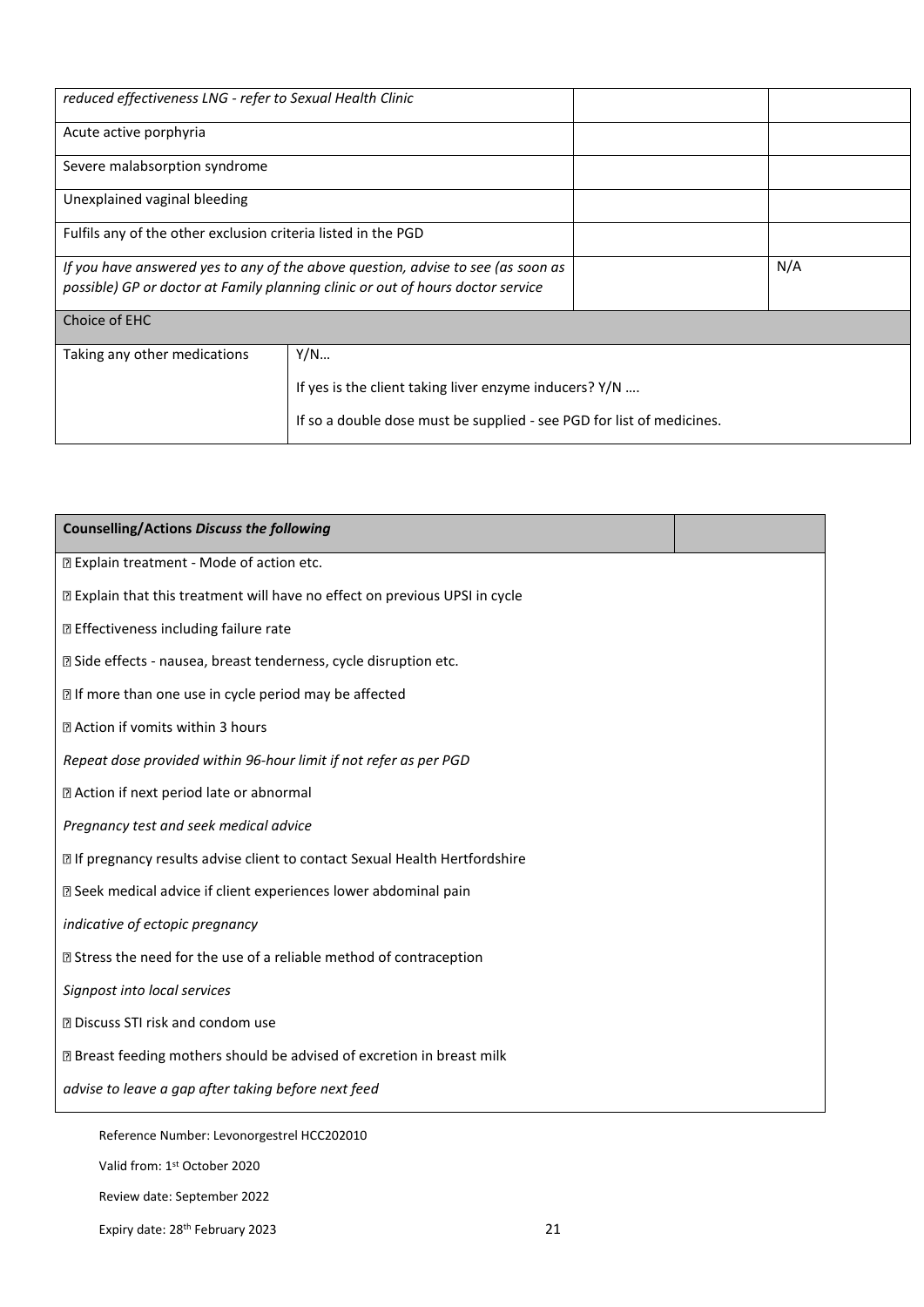| reduced effectiveness LNG - refer to Sexual Health Clinic                        |                                                                       |  |     |
|----------------------------------------------------------------------------------|-----------------------------------------------------------------------|--|-----|
| Acute active porphyria                                                           |                                                                       |  |     |
| Severe malabsorption syndrome                                                    |                                                                       |  |     |
| Unexplained vaginal bleeding                                                     |                                                                       |  |     |
| Fulfils any of the other exclusion criteria listed in the PGD                    |                                                                       |  |     |
| If you have answered yes to any of the above question, advise to see (as soon as |                                                                       |  | N/A |
| possible) GP or doctor at Family planning clinic or out of hours doctor service  |                                                                       |  |     |
| Choice of EHC                                                                    |                                                                       |  |     |
| Taking any other medications                                                     | Y/N                                                                   |  |     |
|                                                                                  | If yes is the client taking liver enzyme inducers? $Y/N$              |  |     |
|                                                                                  | If so a double dose must be supplied - see PGD for list of medicines. |  |     |

| <b>Counselling/Actions Discuss the following</b>                              |  |
|-------------------------------------------------------------------------------|--|
| 7 Explain treatment - Mode of action etc.                                     |  |
| I Explain that this treatment will have no effect on previous UPSI in cycle   |  |
| <b>D</b> Effectiveness including failure rate                                 |  |
| 27 Side effects - nausea, breast tenderness, cycle disruption etc.            |  |
| I If more than one use in cycle period may be affected                        |  |
| 2 Action if vomits within 3 hours                                             |  |
| Repeat dose provided within 96-hour limit if not refer as per PGD             |  |
| Z Action if next period late or abnormal                                      |  |
| Pregnancy test and seek medical advice                                        |  |
| I If pregnancy results advise client to contact Sexual Health Hertfordshire   |  |
| 2 Seek medical advice if client experiences lower abdominal pain              |  |
| indicative of ectopic pregnancy                                               |  |
| <b>If</b> Stress the need for the use of a reliable method of contraception   |  |
| Signpost into local services                                                  |  |
| <b>D</b> Discuss STI risk and condom use                                      |  |
| <b>Z</b> Breast feeding mothers should be advised of excretion in breast milk |  |
| advise to leave a gap after taking before next feed                           |  |
| Reference Number: Levonorgestrel HCC202010                                    |  |

Valid from: 1st October 2020

Review date: September 2022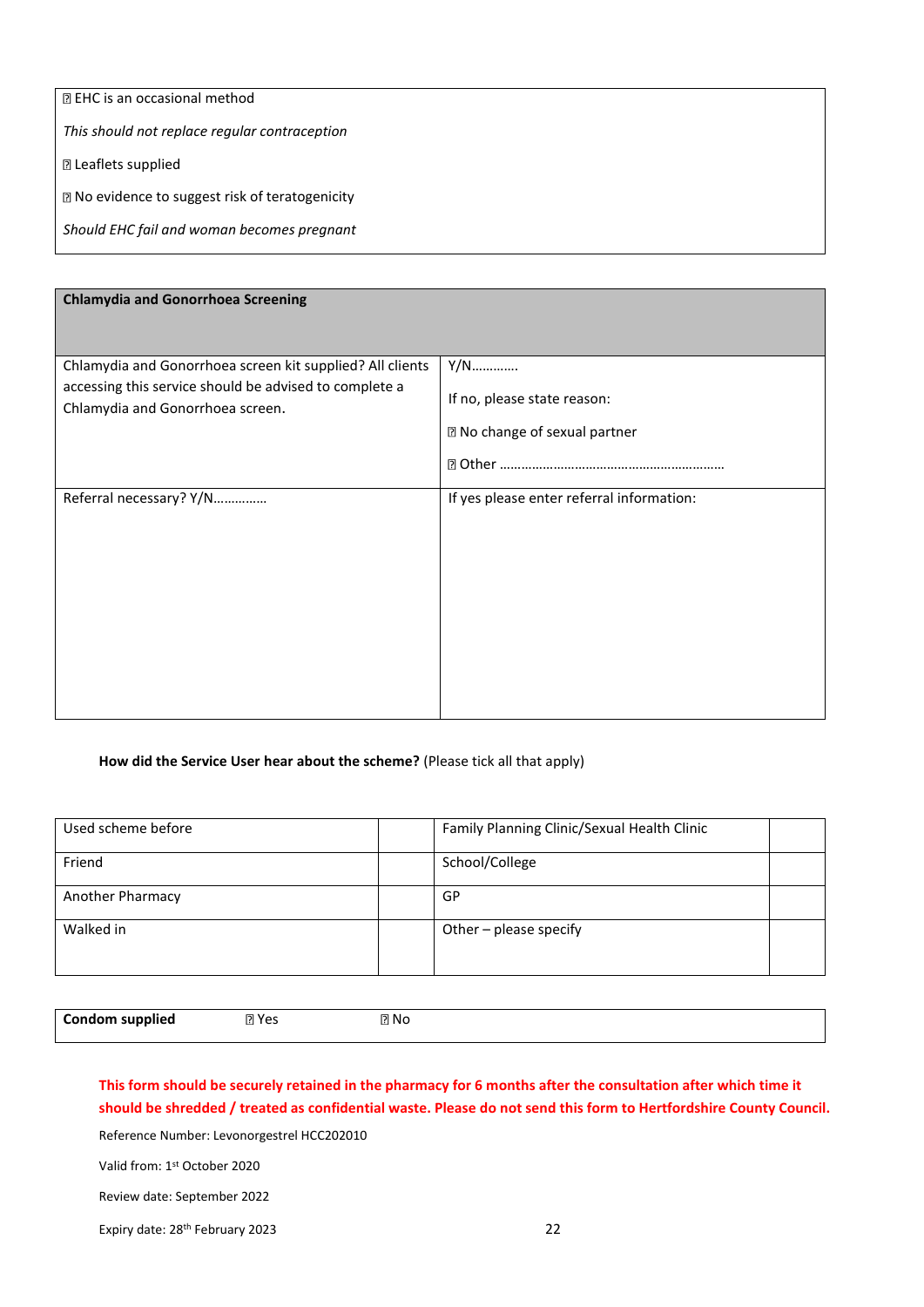| <b>R</b> EHC is an occasional method            |
|-------------------------------------------------|
| This should not replace regular contraception   |
| <b>D</b> Leaflets supplied                      |
| ■ No evidence to suggest risk of teratogenicity |
| Should EHC fail and woman becomes pregnant      |
|                                                 |

| <b>Chlamydia and Gonorrhoea Screening</b>                                                                                                               |                                                                     |  |  |
|---------------------------------------------------------------------------------------------------------------------------------------------------------|---------------------------------------------------------------------|--|--|
| Chlamydia and Gonorrhoea screen kit supplied? All clients<br>accessing this service should be advised to complete a<br>Chlamydia and Gonorrhoea screen. | Y/N<br>If no, please state reason:<br>7 No change of sexual partner |  |  |
| Referral necessary? Y/N                                                                                                                                 | If yes please enter referral information:                           |  |  |

#### **How did the Service User hear about the scheme?** (Please tick all that apply)

| Used scheme before | Family Planning Clinic/Sexual Health Clinic |  |
|--------------------|---------------------------------------------|--|
| Friend             | School/College                              |  |
| Another Pharmacy   | GP                                          |  |
| Walked in          | Other - please specify                      |  |

**Condom supplied Dives** No

#### **This form should be securely retained in the pharmacy for 6 months after the consultation after which time it should be shredded / treated as confidential waste. Please do not send this form to Hertfordshire County Council.**

Reference Number: Levonorgestrel HCC202010

Valid from: 1st October 2020

Review date: September 2022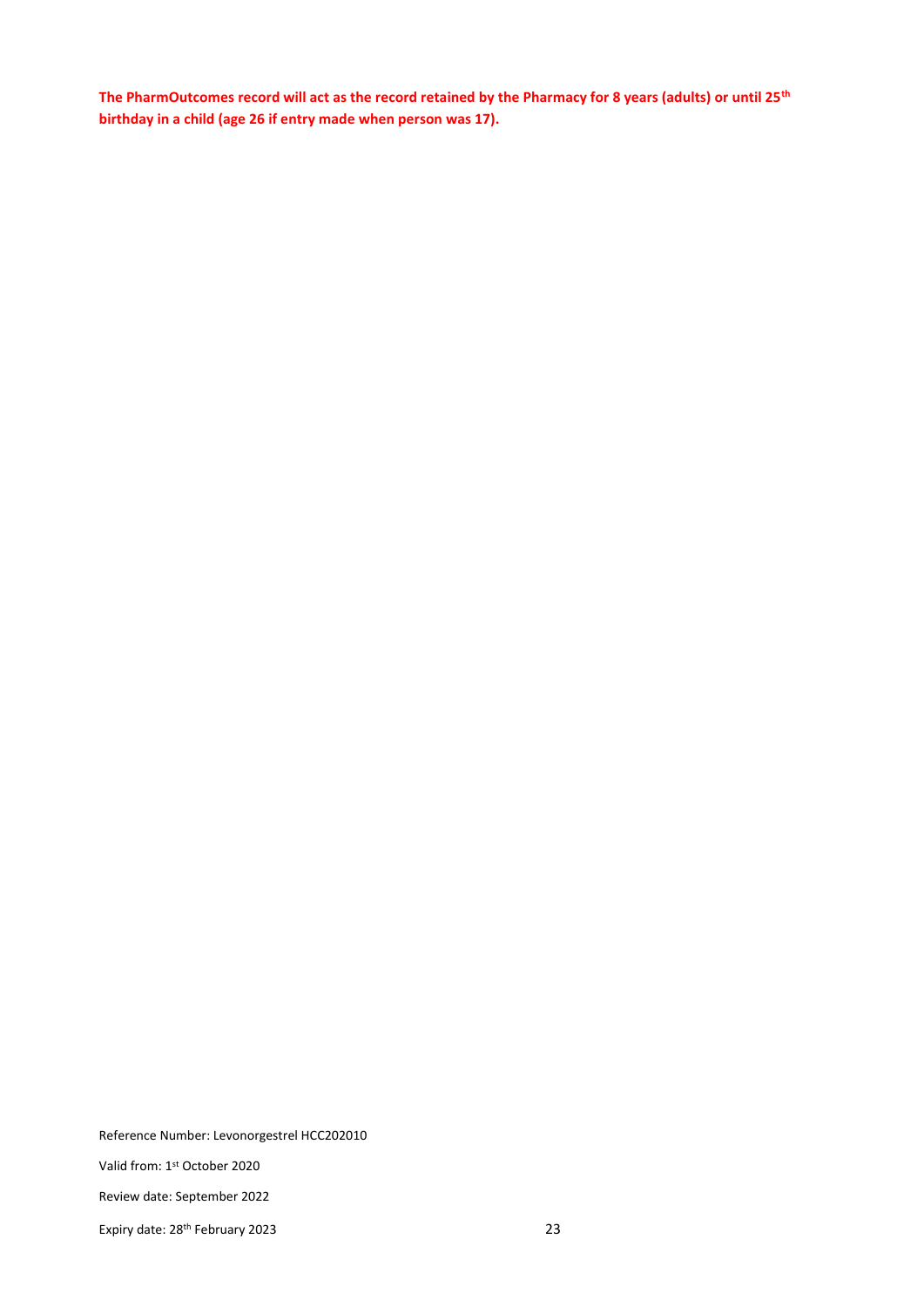**The PharmOutcomes record will act as the record retained by the Pharmacy for 8 years (adults) or until 25th birthday in a child (age 26 if entry made when person was 17).** 

Reference Number: Levonorgestrel HCC202010

Valid from: 1st October 2020

Review date: September 2022